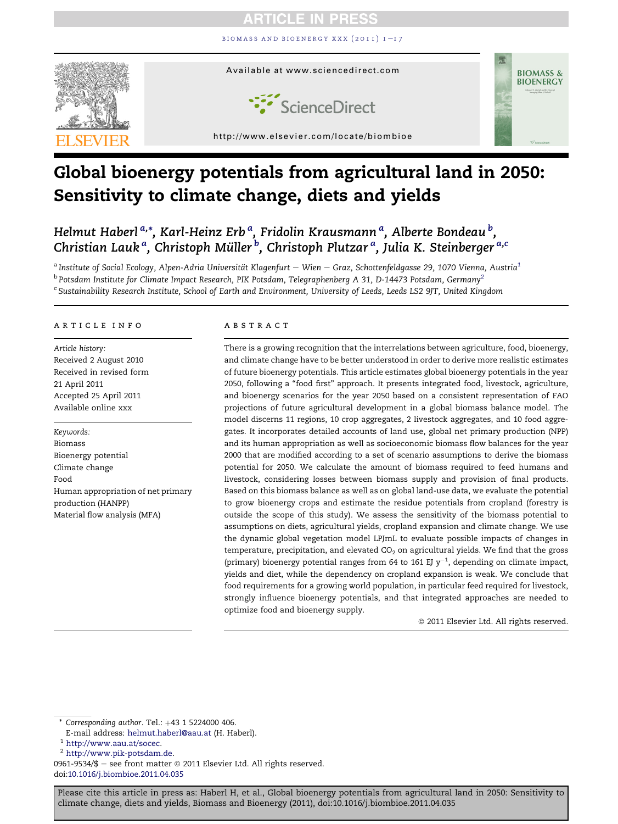BIOMASS AND BIOENERGY XXX  $(2011)$   $I-I7$ 



# Global bioenergy potentials from agricultural land in 2050: Sensitivity to climate change, diets and yields

Helmut Haberl <sup>a,</sup>\*, Karl-Heinz Erb <sup>a</sup>, Fridolin Krausmann <sup>a</sup>, Alberte Bondeau <sup>b</sup>, Christian Lauk<sup>a</sup>, Christoph Müller <sup>b</sup>, Christoph Plutzar <sup>a</sup>, Julia K. Steinberger <sup>a,c</sup>

 $^{\rm a}$ Institute of Social Ecology, Alpen-Adria Universität Klagenfurt  $-$  Wien  $-$  Graz, Schottenfeldgasse 29, 1070 Vienna, Austria $^1$  $^{\rm b}$  Potsdam Institute for Climate Impact Research, PIK Potsdam, Telegraphenberg A 31, D-14473 Potsdam, Germany $^2$ <sup>c</sup> Sustainability Research Institute, School of Earth and Environment, University of Leeds, Leeds LS2 9JT, United Kingdom

#### article info

Article history: Received 2 August 2010 Received in revised form 21 April 2011 Accepted 25 April 2011 Available online xxx

Keywords: Biomass Bioenergy potential Climate change Food Human appropriation of net primary production (HANPP) Material flow analysis (MFA)

#### **ABSTRACT**

There is a growing recognition that the interrelations between agriculture, food, bioenergy, and climate change have to be better understood in order to derive more realistic estimates of future bioenergy potentials. This article estimates global bioenergy potentials in the year 2050, following a "food first" approach. It presents integrated food, livestock, agriculture, and bioenergy scenarios for the year 2050 based on a consistent representation of FAO projections of future agricultural development in a global biomass balance model. The model discerns 11 regions, 10 crop aggregates, 2 livestock aggregates, and 10 food aggregates. It incorporates detailed accounts of land use, global net primary production (NPP) and its human appropriation as well as socioeconomic biomass flow balances for the year 2000 that are modified according to a set of scenario assumptions to derive the biomass potential for 2050. We calculate the amount of biomass required to feed humans and livestock, considering losses between biomass supply and provision of final products. Based on this biomass balance as well as on global land-use data, we evaluate the potential to grow bioenergy crops and estimate the residue potentials from cropland (forestry is outside the scope of this study). We assess the sensitivity of the biomass potential to assumptions on diets, agricultural yields, cropland expansion and climate change. We use the dynamic global vegetation model LPJmL to evaluate possible impacts of changes in temperature, precipitation, and elevated  $CO<sub>2</sub>$  on agricultural yields. We find that the gross (primary) bioenergy potential ranges from 64 to 161 EJ  $y^{-1}$ , depending on climate impact, yields and diet, while the dependency on cropland expansion is weak. We conclude that food requirements for a growing world population, in particular feed required for livestock, strongly influence bioenergy potentials, and that integrated approaches are needed to optimize food and bioenergy supply.

 $@$  2011 Elsevier Ltd. All rights reserved.

 $*$  Corresponding author. Tel.:  $+43$  1 5224000 406.

E-mail address: [helmut.haberl@aau.at](mailto:helmut.haberl@aau.at) (H. Haberl).

<sup>2</sup> <http://www.pik-potsdam.de>.

0961-9534/\$ - see front matter  $\odot$  2011 Elsevier Ltd. All rights reserved. doi[:10.1016/j.biombioe.2011.04.035](http://dx.doi.org/10.1016/j.biombioe.2011.04.035)

<sup>1</sup> <http://www.aau.at/socec>.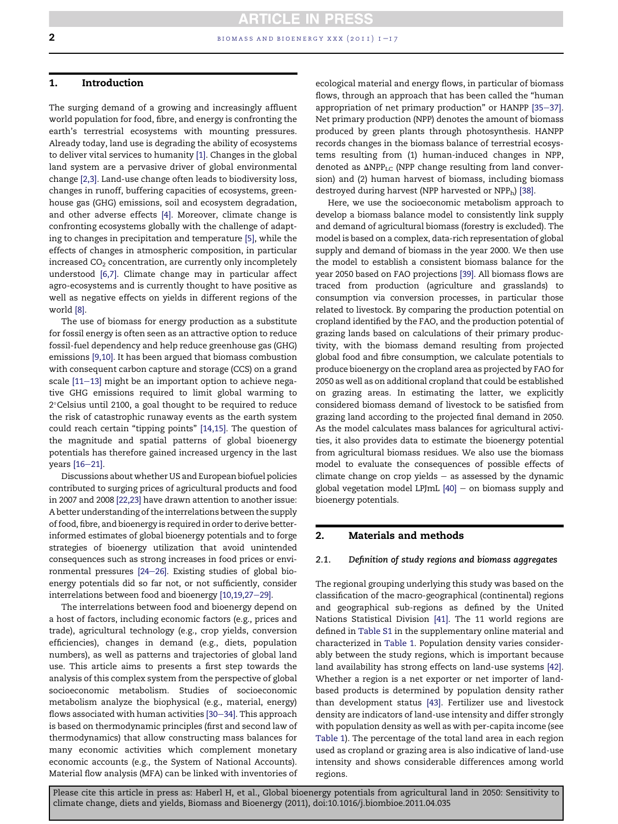<span id="page-1-0"></span>

# 1. Introduction

The surging demand of a growing and increasingly affluent world population for food, fibre, and energy is confronting the earth's terrestrial ecosystems with mounting pressures. Already today, land use is degrading the ability of ecosystems to deliver vital services to humanity [\[1\]](#page-13-0). Changes in the global land system are a pervasive driver of global environmental change [\[2,3\]](#page-13-0). Land-use change often leads to biodiversity loss, changes in runoff, buffering capacities of ecosystems, greenhouse gas (GHG) emissions, soil and ecosystem degradation, and other adverse effects [\[4\].](#page-13-0) Moreover, climate change is confronting ecosystems globally with the challenge of adapting to changes in precipitation and temperature [\[5\]](#page-13-0), while the effects of changes in atmospheric composition, in particular increased  $CO<sub>2</sub>$  concentration, are currently only incompletely understood [\[6,7\].](#page-13-0) Climate change may in particular affect agro-ecosystems and is currently thought to have positive as well as negative effects on yields in different regions of the world [\[8\].](#page-13-0)

The use of biomass for energy production as a substitute for fossil energy is often seen as an attractive option to reduce fossil-fuel dependency and help reduce greenhouse gas (GHG) emissions [\[9,10\]](#page-14-0). It has been argued that biomass combustion with consequent carbon capture and storage (CCS) on a grand scale  $[11-13]$  $[11-13]$  $[11-13]$  might be an important option to achieve negative GHG emissions required to limit global warming to 2°Celsius until 2100, a goal thought to be required to reduce the risk of catastrophic runaway events as the earth system could reach certain "tipping points" [\[14,15\].](#page-14-0) The question of the magnitude and spatial patterns of global bioenergy potentials has therefore gained increased urgency in the last years  $[16-21]$  $[16-21]$ .

Discussions about whether US and European biofuel policies contributed to surging prices of agricultural products and food in 2007 and 2008 [\[22,23\]](#page-14-0) have drawn attention to another issue: A better understanding of the interrelations between the supply of food, fibre, and bioenergy is required in order to derive betterinformed estimates of global bioenergy potentials and to forge strategies of bioenergy utilization that avoid unintended consequences such as strong increases in food prices or environmental pressures  $[24-26]$  $[24-26]$ . Existing studies of global bioenergy potentials did so far not, or not sufficiently, consider interrelations between food and bioenergy  $[10, 19, 27-29]$  $[10, 19, 27-29]$ .

The interrelations between food and bioenergy depend on a host of factors, including economic factors (e.g., prices and trade), agricultural technology (e.g., crop yields, conversion efficiencies), changes in demand (e.g., diets, population numbers), as well as patterns and trajectories of global land use. This article aims to presents a first step towards the analysis of this complex system from the perspective of global socioeconomic metabolism. Studies of socioeconomic metabolism analyze the biophysical (e.g., material, energy) flows associated with human activities  $[30-34]$  $[30-34]$  $[30-34]$ . This approach is based on thermodynamic principles (first and second law of thermodynamics) that allow constructing mass balances for many economic activities which complement monetary economic accounts (e.g., the System of National Accounts). Material flow analysis (MFA) can be linked with inventories of ecological material and energy flows, in particular of biomass flows, through an approach that has been called the "human appropriation of net primary production" or  $HANPP$  [\[35](#page-14-0)-[37\]](#page-14-0). Net primary production (NPP) denotes the amount of biomass produced by green plants through photosynthesis. HANPP records changes in the biomass balance of terrestrial ecosystems resulting from (1) human-induced changes in NPP, denoted as  $\Delta NPP_{LC}$  (NPP change resulting from land conversion) and (2) human harvest of biomass, including biomass destroyed during harvest (NPP harvested or NPPh) [\[38\]](#page-14-0).

Here, we use the socioeconomic metabolism approach to develop a biomass balance model to consistently link supply and demand of agricultural biomass (forestry is excluded). The model is based on a complex, data-rich representation of global supply and demand of biomass in the year 2000. We then use the model to establish a consistent biomass balance for the year 2050 based on FAO projections [\[39\].](#page-14-0) All biomass flows are traced from production (agriculture and grasslands) to consumption via conversion processes, in particular those related to livestock. By comparing the production potential on cropland identified by the FAO, and the production potential of grazing lands based on calculations of their primary productivity, with the biomass demand resulting from projected global food and fibre consumption, we calculate potentials to produce bioenergy on the cropland area as projected by FAO for 2050 as well as on additional cropland that could be established on grazing areas. In estimating the latter, we explicitly considered biomass demand of livestock to be satisfied from grazing land according to the projected final demand in 2050. As the model calculates mass balances for agricultural activities, it also provides data to estimate the bioenergy potential from agricultural biomass residues. We also use the biomass model to evaluate the consequences of possible effects of climate change on crop yields  $-$  as assessed by the dynamic global vegetation model LPJmL  $[40]$  – on biomass supply and bioenergy potentials.

## 2. Materials and methods

#### 2.1. Definition of study regions and biomass aggregates

The regional grouping underlying this study was based on the classification of the macro-geographical (continental) regions and geographical sub-regions as defined by the United Nations Statistical Division [\[41\]](#page-14-0). The 11 world regions are defined in Table S1 in the supplementary online material and characterized in [Table 1](#page-2-0). Population density varies considerably between the study regions, which is important because land availability has strong effects on land-use systems [\[42\]](#page-14-0). Whether a region is a net exporter or net importer of landbased products is determined by population density rather than development status [\[43\]](#page-14-0). Fertilizer use and livestock density are indicators of land-use intensity and differ strongly with population density as well as with per-capita income (see [Table 1\)](#page-2-0). The percentage of the total land area in each region used as cropland or grazing area is also indicative of land-use intensity and shows considerable differences among world regions.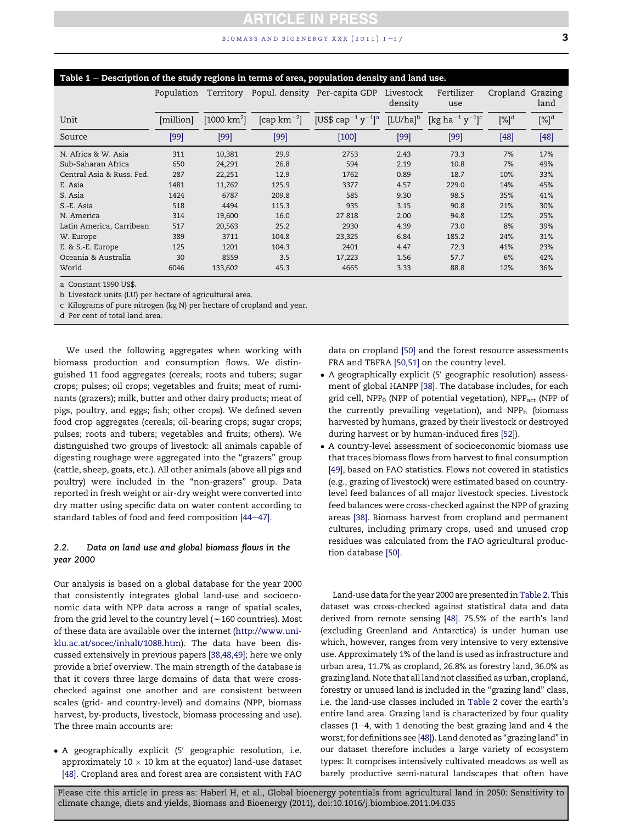## $b$ iomass and bioenergy xxx (2011)  $1 - 17$  3

<span id="page-2-0"></span>

| Table 1 – Description of the study regions in terms of area, population density and land use. |            |                         |                                   |                                                 |                        |                                                 |          |                 |  |
|-----------------------------------------------------------------------------------------------|------------|-------------------------|-----------------------------------|-------------------------------------------------|------------------------|-------------------------------------------------|----------|-----------------|--|
|                                                                                               | Population | Territory               |                                   | Popul. density Per-capita GDP                   | Livestock<br>density   | Fertilizer<br>use                               | Cropland | Grazing<br>land |  |
| Unit                                                                                          | [million]  | [1000 km <sup>2</sup> ] | $\left[\text{cap km}^{-2}\right]$ | [US\$ cap <sup>-1</sup> $y^{-1}$ ] <sup>a</sup> | $[LU/ha]$ <sup>b</sup> | $[\text{kg ha}^{-1} \text{ y}^{-1}]^{\text{c}}$ | $[\%]^d$ | $[\%]^{d}$      |  |
| Source                                                                                        | $[99]$     | $[99]$                  | $[99]$                            | $[100]$                                         | $[99]$                 | [99]                                            | [48]     | $[48]$          |  |
| N. Africa & W. Asia                                                                           | 311        | 10,381                  | 29.9                              | 2753                                            | 2.43                   | 73.3                                            | 7%       | 17%             |  |
| Sub-Saharan Africa                                                                            | 650        | 24,291                  | 26.8                              | 594                                             | 2.19                   | 10.8                                            | 7%       | 49%             |  |
| Central Asia & Russ. Fed.                                                                     | 287        | 22,251                  | 12.9                              | 1762                                            | 0.89                   | 18.7                                            | 10%      | 33%             |  |
| E. Asia                                                                                       | 1481       | 11,762                  | 125.9                             | 3377                                            | 4.57                   | 229.0                                           | 14%      | 45%             |  |
| S. Asia                                                                                       | 1424       | 6787                    | 209.8                             | 585                                             | 9.30                   | 98.5                                            | 35%      | 41%             |  |
| S.-E. Asia                                                                                    | 518        | 4494                    | 115.3                             | 935                                             | 3.15                   | 90.8                                            | 21%      | 30%             |  |
| N. America                                                                                    | 314        | 19,600                  | 16.0                              | 27 818                                          | 2.00                   | 94.8                                            | 12%      | 25%             |  |
| Latin America, Carribean                                                                      | 517        | 20,563                  | 25.2                              | 2930                                            | 4.39                   | 73.0                                            | 8%       | 39%             |  |
| W. Europe                                                                                     | 389        | 3711                    | 104.8                             | 23,325                                          | 6.84                   | 185.2                                           | 24%      | 31%             |  |
| E. & S.-E. Europe                                                                             | 125        | 1201                    | 104.3                             | 2401                                            | 4.47                   | 72.3                                            | 41%      | 23%             |  |
| Oceania & Australia                                                                           | 30         | 8559                    | 3.5                               | 17,223                                          | 1.56                   | 57.7                                            | 6%       | 42%             |  |
| World                                                                                         | 6046       | 133,602                 | 45.3                              | 4665                                            | 3.33                   | 88.8                                            | 12%      | 36%             |  |

a Constant 1990 US\$.

b Livestock units (LU) per hectare of agricultural area.

c Kilograms of pure nitrogen (kg N) per hectare of cropland and year.

d Per cent of total land area.

We used the following aggregates when working with biomass production and consumption flows. We distinguished 11 food aggregates (cereals; roots and tubers; sugar crops; pulses; oil crops; vegetables and fruits; meat of ruminants (grazers); milk, butter and other dairy products; meat of pigs, poultry, and eggs; fish; other crops). We defined seven food crop aggregates (cereals; oil-bearing crops; sugar crops; pulses; roots and tubers; vegetables and fruits; others). We distinguished two groups of livestock: all animals capable of digesting roughage were aggregated into the "grazers" group (cattle, sheep, goats, etc.). All other animals (above all pigs and poultry) were included in the "non-grazers" group. Data reported in fresh weight or air-dry weight were converted into dry matter using specific data on water content according to standard tables of food and feed composition  $[44-47]$  $[44-47]$  $[44-47]$ .

## 2.2. Data on land use and global biomass flows in the year 2000

Our analysis is based on a global database for the year 2000 that consistently integrates global land-use and socioeconomic data with NPP data across a range of spatial scales, from the grid level to the country level ( $\sim$  160 countries). Most of these data are available over the internet [\(http://www.uni](http://www.uni-klu.ac.at/socec/inhalt/1088.htm)[klu.ac.at/socec/inhalt/1088.htm\)](http://www.uni-klu.ac.at/socec/inhalt/1088.htm). The data have been discussed extensively in previous papers [\[38,48,49\];](#page-14-0) here we only provide a brief overview. The main strength of the database is that it covers three large domains of data that were crosschecked against one another and are consistent between scales (grid- and country-level) and domains (NPP, biomass harvest, by-products, livestock, biomass processing and use). The three main accounts are:

 $\bullet$  A geographically explicit (5' geographic resolution, i.e. approximately  $10 \times 10$  km at the equator) land-use dataset [\[48\]](#page-14-0). Cropland area and forest area are consistent with FAO data on cropland [\[50\]](#page-14-0) and the forest resource assessments FRA and TBFRA [\[50,51\]](#page-14-0) on the country level.

- A geographically explicit (5' geographic resolution) assessment of global HANPP [\[38\]](#page-14-0). The database includes, for each grid cell, NPP<sub>0</sub> (NPP of potential vegetation), NPP<sub>act</sub> (NPP of the currently prevailing vegetation), and  $NPP<sub>h</sub>$  (biomass harvested by humans, grazed by their livestock or destroyed during harvest or by human-induced fires [\[52\]\)](#page-15-0).
- A country-level assessment of socioeconomic biomass use that traces biomass flows from harvest to final consumption [\[49\]](#page-14-0), based on FAO statistics. Flows not covered in statistics (e.g., grazing of livestock) were estimated based on countrylevel feed balances of all major livestock species. Livestock feed balances were cross-checked against the NPP of grazing areas [\[38\]](#page-14-0). Biomass harvest from cropland and permanent cultures, including primary crops, used and unused crop residues was calculated from the FAO agricultural production database [\[50\].](#page-14-0)

Land-use data for the year 2000 are presented in[Table 2.](#page-3-0) This dataset was cross-checked against statistical data and data derived from remote sensing [\[48\].](#page-14-0) 75.5% of the earth's land (excluding Greenland and Antarctica) is under human use which, however, ranges from very intensive to very extensive use. Approximately 1% of the land is used as infrastructure and urban area, 11.7% as cropland, 26.8% as forestry land, 36.0% as grazing land. Note that all land not classified as urban, cropland, forestry or unused land is included in the "grazing land" class, i.e. the land-use classes included in [Table 2](#page-3-0) cover the earth's entire land area. Grazing land is characterized by four quality classes ( $1-4$ , with 1 denoting the best grazing land and 4 the worst; for definitions see [\[48\]](#page-14-0)). Land denoted as "grazing land" in our dataset therefore includes a large variety of ecosystem types: It comprises intensively cultivated meadows as well as barely productive semi-natural landscapes that often have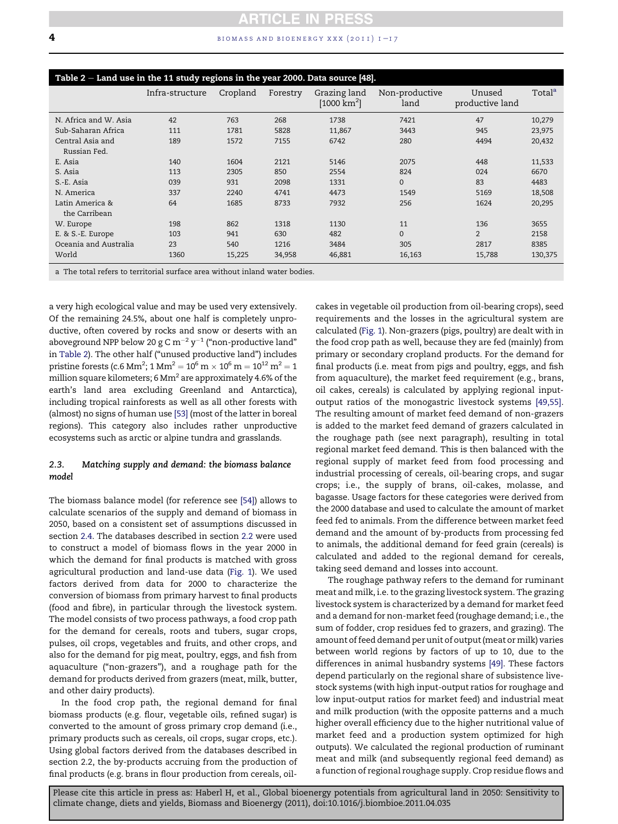<span id="page-3-0"></span>**4** biomass and bioenergy xxx (2011)  $1 - 17$ 

| Table $2$ – Land use in the 11 study regions in the year 2000. Data source [48]. |                 |          |          |                                         |                        |                           |                    |  |
|----------------------------------------------------------------------------------|-----------------|----------|----------|-----------------------------------------|------------------------|---------------------------|--------------------|--|
|                                                                                  | Infra-structure | Cropland | Forestry | Grazing land<br>[1000 km <sup>2</sup> ] | Non-productive<br>land | Unused<br>productive land | Total <sup>a</sup> |  |
| N. Africa and W. Asia                                                            | 42              | 763      | 268      | 1738                                    | 7421                   | 47                        | 10,279             |  |
| Sub-Saharan Africa                                                               | 111             | 1781     | 5828     | 11,867                                  | 3443                   | 945                       | 23,975             |  |
| Central Asia and                                                                 | 189             | 1572     | 7155     | 6742                                    | 280                    | 4494                      | 20,432             |  |
| Russian Fed.                                                                     |                 |          |          |                                         |                        |                           |                    |  |
| E. Asia                                                                          | 140             | 1604     | 2121     | 5146                                    | 2075                   | 448                       | 11,533             |  |
| S. Asia                                                                          | 113             | 2305     | 850      | 2554                                    | 824                    | 024                       | 6670               |  |
| S.-E. Asia                                                                       | 039             | 931      | 2098     | 1331                                    | $\Omega$               | 83                        | 4483               |  |
| N. America                                                                       | 337             | 2240     | 4741     | 4473                                    | 1549                   | 5169                      | 18,508             |  |
| Latin America &                                                                  | 64              | 1685     | 8733     | 7932                                    | 256                    | 1624                      | 20,295             |  |
| the Carribean                                                                    |                 |          |          |                                         |                        |                           |                    |  |
| W. Europe                                                                        | 198             | 862      | 1318     | 1130                                    | 11                     | 136                       | 3655               |  |
| E. & S.-E. Europe                                                                | 103             | 941      | 630      | 482                                     | $\mathbf{0}$           | $\overline{2}$            | 2158               |  |
| Oceania and Australia                                                            | 23              | 540      | 1216     | 3484                                    | 305                    | 2817                      | 8385               |  |
| World                                                                            | 1360            | 15,225   | 34,958   | 46,881                                  | 16,163                 | 15,788                    | 130,375            |  |
| a The total refers to territorial surface area without inland water bodies.      |                 |          |          |                                         |                        |                           |                    |  |

a very high ecological value and may be used very extensively. Of the remaining 24.5%, about one half is completely unproductive, often covered by rocks and snow or deserts with an aboveground NPP below 20 g C  $\rm m^{-2}$  y<sup>-1</sup> ("non-productive land" in Table 2). The other half ("unused productive land") includes pristine forests (c.6 Mm<sup>2</sup>; 1 Mm<sup>2</sup> = 10<sup>6</sup> m  $\times$  10<sup>6</sup> m = 10<sup>12</sup> m<sup>2</sup> = 1 million square kilometers; 6 Mm<sup>2</sup> are approximately 4.6% of the earth's land area excluding Greenland and Antarctica), including tropical rainforests as well as all other forests with (almost) no signs of human use [\[53\]](#page-15-0) (most of the latter in boreal regions). This category also includes rather unproductive ecosystems such as arctic or alpine tundra and grasslands.

# 2.3. Matching supply and demand: the biomass balance model

The biomass balance model (for reference see [\[54\]](#page-15-0)) allows to calculate scenarios of the supply and demand of biomass in 2050, based on a consistent set of assumptions discussed in section [2.4.](#page-4-0) The databases described in section [2.2](#page-2-0) were used to construct a model of biomass flows in the year 2000 in which the demand for final products is matched with gross agricultural production and land-use data ([Fig. 1](#page-4-0)). We used factors derived from data for 2000 to characterize the conversion of biomass from primary harvest to final products (food and fibre), in particular through the livestock system. The model consists of two process pathways, a food crop path for the demand for cereals, roots and tubers, sugar crops, pulses, oil crops, vegetables and fruits, and other crops, and also for the demand for pig meat, poultry, eggs, and fish from aquaculture ("non-grazers"), and a roughage path for the demand for products derived from grazers (meat, milk, butter, and other dairy products).

In the food crop path, the regional demand for final biomass products (e.g. flour, vegetable oils, refined sugar) is converted to the amount of gross primary crop demand (i.e., primary products such as cereals, oil crops, sugar crops, etc.). Using global factors derived from the databases described in section 2.2, the by-products accruing from the production of final products (e.g. brans in flour production from cereals, oilcakes in vegetable oil production from oil-bearing crops), seed requirements and the losses in the agricultural system are calculated ([Fig. 1](#page-4-0)). Non-grazers (pigs, poultry) are dealt with in the food crop path as well, because they are fed (mainly) from primary or secondary cropland products. For the demand for final products (i.e. meat from pigs and poultry, eggs, and fish from aquaculture), the market feed requirement (e.g., brans, oil cakes, cereals) is calculated by applying regional inputoutput ratios of the monogastric livestock systems [\[49,55\]](#page-14-0). The resulting amount of market feed demand of non-grazers is added to the market feed demand of grazers calculated in the roughage path (see next paragraph), resulting in total regional market feed demand. This is then balanced with the regional supply of market feed from food processing and industrial processing of cereals, oil-bearing crops, and sugar crops; i.e., the supply of brans, oil-cakes, molasse, and bagasse. Usage factors for these categories were derived from the 2000 database and used to calculate the amount of market feed fed to animals. From the difference between market feed demand and the amount of by-products from processing fed to animals, the additional demand for feed grain (cereals) is calculated and added to the regional demand for cereals, taking seed demand and losses into account.

The roughage pathway refers to the demand for ruminant meat and milk, i.e. to the grazing livestock system. The grazing livestock system is characterized by a demand for market feed and a demand for non-market feed (roughage demand; i.e., the sum of fodder, crop residues fed to grazers, and grazing). The amount of feed demand per unit of output (meat or milk) varies between world regions by factors of up to 10, due to the differences in animal husbandry systems [\[49\]](#page-14-0). These factors depend particularly on the regional share of subsistence livestock systems (with high input-output ratios for roughage and low input-output ratios for market feed) and industrial meat and milk production (with the opposite patterns and a much higher overall efficiency due to the higher nutritional value of market feed and a production system optimized for high outputs). We calculated the regional production of ruminant meat and milk (and subsequently regional feed demand) as a function of regional roughage supply. Crop residue flows and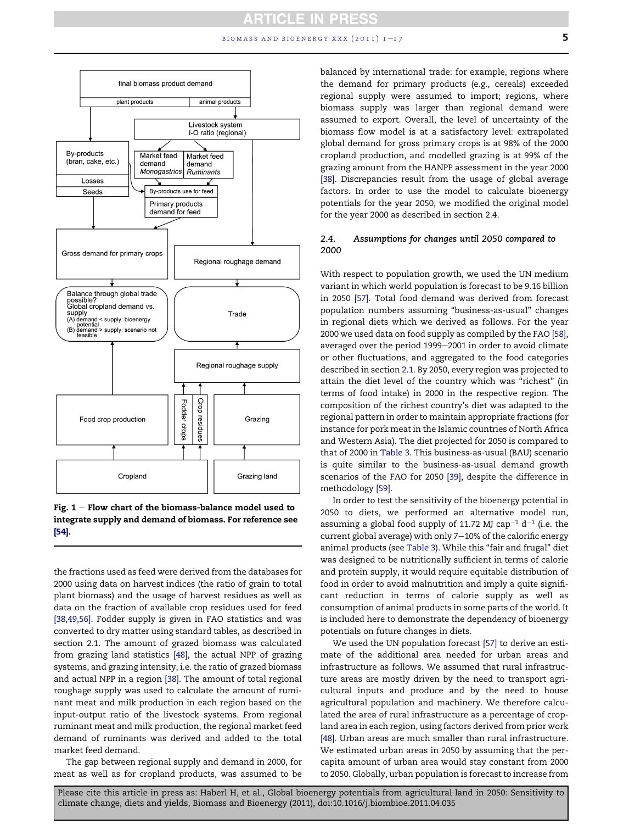<span id="page-4-0"></span>

Fig.  $1$  – Flow chart of the biomass-balance model used to integrate supply and demand of biomass. For reference see [\[54\].](#page-15-0)

the fractions used as feed were derived from the databases for 2000 using data on harvest indices (the ratio of grain to total plant biomass) and the usage of harvest residues as well as data on the fraction of available crop residues used for feed [\[38,49,56\].](#page-14-0) Fodder supply is given in FAO statistics and was converted to dry matter using standard tables, as described in section 2.1. The amount of grazed biomass was calculated from grazing land statistics [\[48\],](#page-14-0) the actual NPP of grazing systems, and grazing intensity, i.e. the ratio of grazed biomass and actual NPP in a region [\[38\].](#page-14-0) The amount of total regional roughage supply was used to calculate the amount of ruminant meat and milk production in each region based on the input-output ratio of the livestock systems. From regional ruminant meat and milk production, the regional market feed demand of ruminants was derived and added to the total market feed demand.

The gap between regional supply and demand in 2000, for meat as well as for cropland products, was assumed to be balanced by international trade: for example, regions where the demand for primary products (e.g., cereals) exceeded regional supply were assumed to import; regions, where biomass supply was larger than regional demand were assumed to export. Overall, the level of uncertainty of the biomass flow model is at a satisfactory level: extrapolated global demand for gross primary crops is at 98% of the 2000 cropland production, and modelled grazing is at 99% of the grazing amount from the HANPP assessment in the year 2000 [\[38\].](#page-14-0) Discrepancies result from the usage of global average factors. In order to use the model to calculate bioenergy potentials for the year 2050, we modified the original model for the year 2000 as described in section 2.4.

# 2.4. Assumptions for changes until 2050 compared to 2000

With respect to population growth, we used the UN medium variant in which world population is forecast to be 9.16 billion in 2050 [\[57\]](#page-15-0). Total food demand was derived from forecast population numbers assuming "business-as-usual" changes in regional diets which we derived as follows. For the year 2000 we used data on food supply as compiled by the FAO [\[58\],](#page-15-0) averaged over the period 1999-2001 in order to avoid climate or other fluctuations, and aggregated to the food categories described in section [2.1](#page-1-0). By 2050, every region was projected to attain the diet level of the country which was "richest" (in terms of food intake) in 2000 in the respective region. The composition of the richest country's diet was adapted to the regional pattern in order to maintain appropriate fractions (for instance for pork meat in the Islamic countries of North Africa and Western Asia). The diet projected for 2050 is compared to that of 2000 in [Table 3.](#page-5-0) This business-as-usual (BAU) scenario is quite similar to the business-as-usual demand growth scenarios of the FAO for 2050 [\[39\],](#page-14-0) despite the difference in methodology [\[59\]](#page-15-0).

In order to test the sensitivity of the bioenergy potential in 2050 to diets, we performed an alternative model run, assuming a global food supply of 11.72 MJ cap<sup>-1</sup> d<sup>-1</sup> (i.e. the current global average) with only 7-10% of the calorific energy animal products (see [Table 3\)](#page-5-0). While this "fair and frugal" diet was designed to be nutritionally sufficient in terms of calorie and protein supply, it would require equitable distribution of food in order to avoid malnutrition and imply a quite significant reduction in terms of calorie supply as well as consumption of animal products in some parts of the world. It is included here to demonstrate the dependency of bioenergy potentials on future changes in diets.

We used the UN population forecast [\[57\]](#page-15-0) to derive an estimate of the additional area needed for urban areas and infrastructure as follows. We assumed that rural infrastructure areas are mostly driven by the need to transport agricultural inputs and produce and by the need to house agricultural population and machinery. We therefore calculated the area of rural infrastructure as a percentage of cropland area in each region, using factors derived from prior work [\[48\].](#page-14-0) Urban areas are much smaller than rural infrastructure. We estimated urban areas in 2050 by assuming that the percapita amount of urban area would stay constant from 2000 to 2050. Globally, urban population is forecast to increase from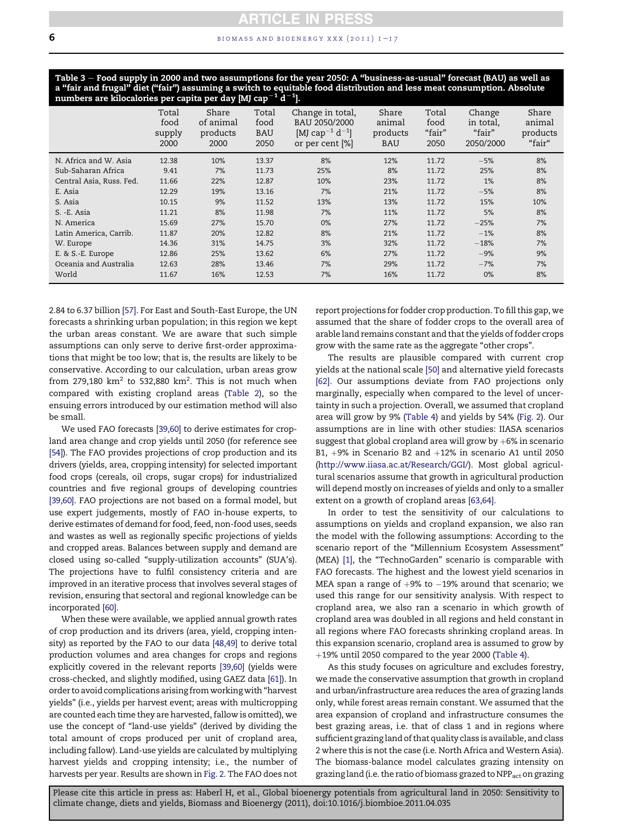### <span id="page-5-0"></span>6 **biomass and bioenergy xxx** (2011)  $I-I7$

Table 3 – Food supply in 2000 and two assumptions for the year 2050: A "business-as-usual" forecast (BAU) as well as a "fair and frugal" diet ("fair") assuming a switch to equitable food distribution and less meat consumption. Absolute<br>numbers are kilocalories per capita per day [MJ cap $^{-1}$  d $^{-1}$ ].

| numbers are mocalones per capita per auy pay cap<br>$\sim$<br>л. |                                 |                                        |                                     |                                                                                                 |                                           |                                 |                                            |                                       |
|------------------------------------------------------------------|---------------------------------|----------------------------------------|-------------------------------------|-------------------------------------------------------------------------------------------------|-------------------------------------------|---------------------------------|--------------------------------------------|---------------------------------------|
|                                                                  | Total<br>food<br>supply<br>2000 | Share<br>of animal<br>products<br>2000 | Total<br>food<br><b>BAU</b><br>2050 | Change in total,<br>BAU 2050/2000<br>[MJ cap <sup>-1</sup> d <sup>-1</sup> ]<br>or per cent [%] | Share<br>animal<br>products<br><b>BAU</b> | Total<br>food<br>"fair"<br>2050 | Change<br>in total,<br>"fair"<br>2050/2000 | Share<br>animal<br>products<br>"fair" |
| N. Africa and W. Asia                                            | 12.38                           | 10%                                    | 13.37                               | 8%                                                                                              | 12%                                       | 11.72                           | $-5%$                                      | 8%                                    |
| Sub-Saharan Africa                                               | 9.41                            | 7%                                     | 11.73                               | 25%                                                                                             | 8%                                        | 11.72                           | 25%                                        | 8%                                    |
| Central Asia, Russ. Fed.                                         | 11.66                           | 22%                                    | 12.87                               | 10%                                                                                             | 23%                                       | 11.72                           | 1%                                         | 8%                                    |
| E. Asia                                                          | 12.29                           | 19%                                    | 13.16                               | 7%                                                                                              | 21%                                       | 11.72                           | $-5%$                                      | 8%                                    |
| S. Asia                                                          | 10.15                           | 9%                                     | 11.52                               | 13%                                                                                             | 13%                                       | 11.72                           | 15%                                        | 10%                                   |
| S. -E. Asia                                                      | 11.21                           | 8%                                     | 11.98                               | 7%                                                                                              | 11%                                       | 11.72                           | 5%                                         | 8%                                    |
| N. America                                                       | 15.69                           | 27%                                    | 15.70                               | 0%                                                                                              | 27%                                       | 11.72                           | $-25%$                                     | 7%                                    |
| Latin America, Carrib.                                           | 11.87                           | 20%                                    | 12.82                               | 8%                                                                                              | 21%                                       | 11.72                           | $-1%$                                      | 8%                                    |
| W. Europe                                                        | 14.36                           | 31%                                    | 14.75                               | 3%                                                                                              | 32%                                       | 11.72                           | $-18%$                                     | 7%                                    |
| E. & S.-E. Europe                                                | 12.86                           | 25%                                    | 13.62                               | 6%                                                                                              | 27%                                       | 11.72                           | $-9%$                                      | 9%                                    |
| Oceania and Australia                                            | 12.63                           | 28%                                    | 13.46                               | 7%                                                                                              | 29%                                       | 11.72                           | $-7%$                                      | 7%                                    |
| World                                                            | 11.67                           | 16%                                    | 12.53                               | 7%                                                                                              | 16%                                       | 11.72                           | 0%                                         | 8%                                    |
|                                                                  |                                 |                                        |                                     |                                                                                                 |                                           |                                 |                                            |                                       |

2.84 to 6.37 billion [\[57\]](#page-15-0). For East and South-East Europe, the UN forecasts a shrinking urban population; in this region we kept the urban areas constant. We are aware that such simple assumptions can only serve to derive first-order approximations that might be too low; that is, the results are likely to be conservative. According to our calculation, urban areas grow from 279,180  $km^2$  to 532,880  $km^2$ . This is not much when compared with existing cropland areas ([Table 2\)](#page-3-0), so the ensuing errors introduced by our estimation method will also be small.

We used FAO forecasts [\[39,60\]](#page-14-0) to derive estimates for cropland area change and crop yields until 2050 (for reference see [\[54\]\)](#page-15-0). The FAO provides projections of crop production and its drivers (yields, area, cropping intensity) for selected important food crops (cereals, oil crops, sugar crops) for industrialized countries and five regional groups of developing countries [\[39,60\]](#page-14-0). FAO projections are not based on a formal model, but use expert judgements, mostly of FAO in-house experts, to derive estimates of demand for food, feed, non-food uses, seeds and wastes as well as regionally specific projections of yields and cropped areas. Balances between supply and demand are closed using so-called "supply-utilization accounts" (SUA's). The projections have to fulfil consistency criteria and are improved in an iterative process that involves several stages of revision, ensuring that sectoral and regional knowledge can be incorporated [\[60\]](#page-15-0).

When these were available, we applied annual growth rates of crop production and its drivers (area, yield, cropping intensity) as reported by the FAO to our data [\[48,49\]](#page-14-0) to derive total production volumes and area changes for crops and regions explicitly covered in the relevant reports [\[39,60\]](#page-14-0) (yields were cross-checked, and slightly modified, using GAEZ data [\[61\]\)](#page-15-0). In order to avoid complications arising fromworkingwith "harvest yields" (i.e., yields per harvest event; areas with multicropping are counted each time they are harvested, fallow is omitted), we use the concept of "land-use yields" (derived by dividing the total amount of crops produced per unit of cropland area, including fallow). Land-use yields are calculated by multiplying harvest yields and cropping intensity; i.e., the number of harvests per year. Results are shown in [Fig. 2.](#page-6-0) The FAO does not report projections for fodder crop production. To fill this gap, we assumed that the share of fodder crops to the overall area of arable land remains constant and that the yields of fodder crops grow with the same rate as the aggregate "other crops".

The results are plausible compared with current crop yields at the national scale [\[50\]](#page-14-0) and alternative yield forecasts [\[62\]](#page-15-0). Our assumptions deviate from FAO projections only marginally, especially when compared to the level of uncertainty in such a projection. Overall, we assumed that cropland area will grow by 9% [\(Table 4\)](#page-7-0) and yields by 54% ([Fig. 2](#page-6-0)). Our assumptions are in line with other studies: IIASA scenarios suggest that global cropland area will grow by  $+6\%$  in scenario B1,  $+9\%$  in Scenario B2 and  $+12\%$  in scenario A1 until 2050 ([http://www.iiasa.ac.at/Research/GGI/\)](http://www.iiasa.ac.at/Research/GGI/). Most global agricultural scenarios assume that growth in agricultural production will depend mostly on increases of yields and only to a smaller extent on a growth of cropland areas [\[63,64\]](#page-15-0).

In order to test the sensitivity of our calculations to assumptions on yields and cropland expansion, we also ran the model with the following assumptions: According to the scenario report of the "Millennium Ecosystem Assessment" (MEA) [\[1\],](#page-13-0) the "TechnoGarden" scenario is comparable with FAO forecasts. The highest and the lowest yield scenarios in MEA span a range of  $+9%$  to  $-19%$  around that scenario; we used this range for our sensitivity analysis. With respect to cropland area, we also ran a scenario in which growth of cropland area was doubled in all regions and held constant in all regions where FAO forecasts shrinking cropland areas. In this expansion scenario, cropland area is assumed to grow by  $+19\%$  until 2050 compared to the year 2000 [\(Table 4\)](#page-7-0).

As this study focuses on agriculture and excludes forestry, we made the conservative assumption that growth in cropland and urban/infrastructure area reduces the area of grazing lands only, while forest areas remain constant. We assumed that the area expansion of cropland and infrastructure consumes the best grazing areas, i.e. that of class 1 and in regions where sufficient grazing land of that quality class is available, and class 2 where this is not the case (i.e. North Africa and Western Asia). The biomass-balance model calculates grazing intensity on grazing land (i.e. the ratio of biomass grazed to  $NPP_{\text{act}}$  on grazing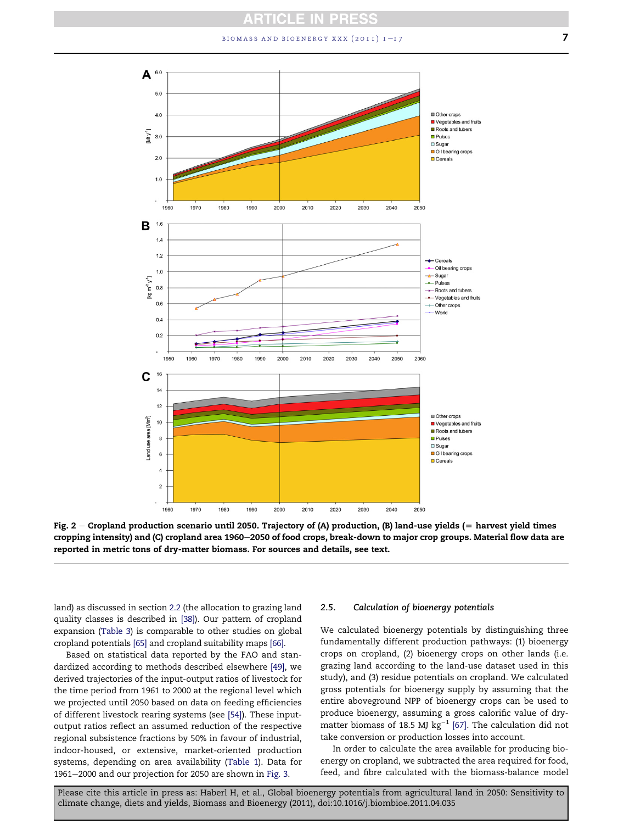$b$  biomass and bioenergy xxx (2011)  $1 - 17$   $\overline{7}$ 

<span id="page-6-0"></span>

Fig.  $2$  – Cropland production scenario until 2050. Trajectory of (A) production, (B) land-use yields (= harvest yield times cropping intensity) and (C) cropland area 1960–2050 of food crops, break-down to major crop groups. Material flow data are reported in metric tons of dry-matter biomass. For sources and details, see text.

land) as discussed in section [2.2](#page-2-0) (the allocation to grazing land quality classes is described in [\[38\]\)](#page-14-0). Our pattern of cropland expansion [\(Table 3\)](#page-5-0) is comparable to other studies on global cropland potentials [\[65\]](#page-15-0) and cropland suitability maps [\[66\].](#page-15-0)

Based on statistical data reported by the FAO and standardized according to methods described elsewhere [\[49\]](#page-14-0), we derived trajectories of the input-output ratios of livestock for the time period from 1961 to 2000 at the regional level which we projected until 2050 based on data on feeding efficiencies of different livestock rearing systems (see [\[54\]](#page-15-0)). These inputoutput ratios reflect an assumed reduction of the respective regional subsistence fractions by 50% in favour of industrial, indoor-housed, or extensive, market-oriented production systems, depending on area availability [\(Table 1](#page-2-0)). Data for 1961-2000 and our projection for 2050 are shown in [Fig. 3](#page-8-0).

#### 2.5. Calculation of bioenergy potentials

We calculated bioenergy potentials by distinguishing three fundamentally different production pathways: (1) bioenergy crops on cropland, (2) bioenergy crops on other lands (i.e. grazing land according to the land-use dataset used in this study), and (3) residue potentials on cropland. We calculated gross potentials for bioenergy supply by assuming that the entire aboveground NPP of bioenergy crops can be used to produce bioenergy, assuming a gross calorific value of drymatter biomass of 18.5 MJ  $kg^{-1}$  [\[67\].](#page-15-0) The calculation did not take conversion or production losses into account.

In order to calculate the area available for producing bioenergy on cropland, we subtracted the area required for food, feed, and fibre calculated with the biomass-balance model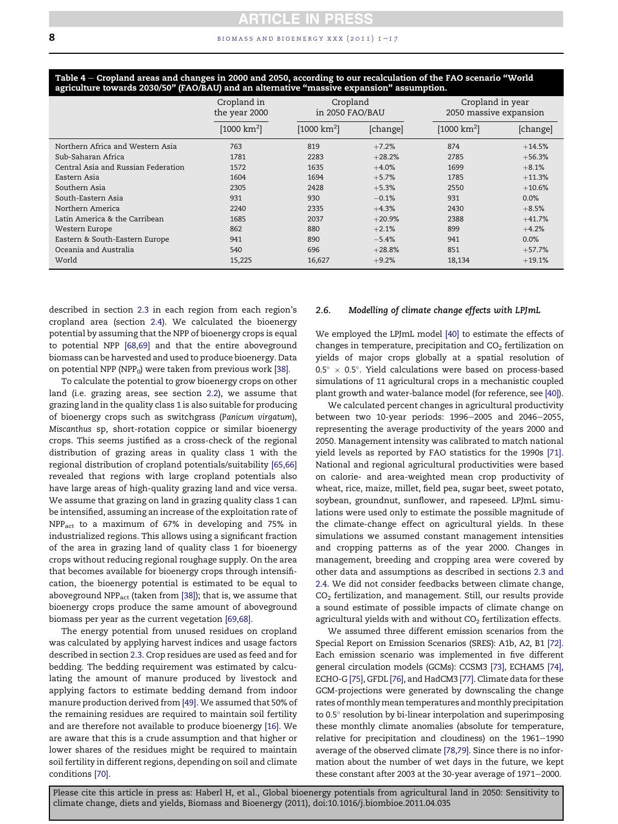|                                     | Cropland in<br>the year 2000 | Cropland<br>in 2050 FAO/BAU |          |                         | Cropland in year<br>2050 massive expansion |  |
|-------------------------------------|------------------------------|-----------------------------|----------|-------------------------|--------------------------------------------|--|
|                                     | [1000 km <sup>2</sup> ]      | [1000 km <sup>2</sup> ]     | [change] | [1000 km <sup>2</sup> ] | [change]                                   |  |
| Northern Africa and Western Asia    | 763                          | 819                         | $+7.2%$  | 874                     | $+14.5%$                                   |  |
| Sub-Saharan Africa                  | 1781                         | 2283                        | $+28.2%$ | 2785                    | $+56.3%$                                   |  |
| Central Asia and Russian Federation | 1572                         | 1635                        | $+4.0%$  | 1699                    | $+8.1%$                                    |  |
| Eastern Asia                        | 1604                         | 1694                        | $+5.7%$  | 1785                    | $+11.3%$                                   |  |
| Southern Asia                       | 2305                         | 2428                        | $+5.3%$  | 2550                    | $+10.6%$                                   |  |
| South-Eastern Asia                  | 931                          | 930                         | $-0.1%$  | 931                     | 0.0%                                       |  |
| Northern America                    | 2240                         | 2335                        | $+4.3%$  | 2430                    | $+8.5%$                                    |  |
| Latin America & the Carribean       | 1685                         | 2037                        | $+20.9%$ | 2388                    | $+41.7%$                                   |  |
| Western Europe                      | 862                          | 880                         | $+2.1%$  | 899                     | $+4.2%$                                    |  |
| Eastern & South-Eastern Europe      | 941                          | 890                         | $-5.4%$  | 941                     | 0.0%                                       |  |
| Oceania and Australia               | 540                          | 696                         | $+28.8%$ | 851                     | $+57.7%$                                   |  |
| World                               | 15,225                       | 16,627                      | $+9.2%$  | 18,134                  | $+19.1%$                                   |  |

<span id="page-7-0"></span>Table 4 – Cropland areas and changes in 2000 and 2050, according to our recalculation of the FAO scenario "World agriculture towards 2030/50" (FAO/BAU) and an alternative "massive expansion" assumption.

described in section [2.3](#page-3-0) in each region from each region's cropland area (section [2.4](#page-4-0)). We calculated the bioenergy potential by assuming that the NPP of bioenergy crops is equal to potential NPP [\[68,69\]](#page-15-0) and that the entire aboveground biomass can be harvested and used to produce bioenergy. Data on potential NPP (NPP $_0$ ) were taken from previous work [\[38\]](#page-14-0).

To calculate the potential to grow bioenergy crops on other land (i.e. grazing areas, see section [2.2](#page-2-0)), we assume that grazing land in the quality class 1 is also suitable for producing of bioenergy crops such as switchgrass (Panicum virgatum), Miscanthus sp, short-rotation coppice or similar bioenergy crops. This seems justified as a cross-check of the regional distribution of grazing areas in quality class 1 with the regional distribution of cropland potentials/suitability [\[65,66\]](#page-15-0) revealed that regions with large cropland potentials also have large areas of high-quality grazing land and vice versa. We assume that grazing on land in grazing quality class 1 can be intensified, assuming an increase of the exploitation rate of NPPact to a maximum of 67% in developing and 75% in industrialized regions. This allows using a significant fraction of the area in grazing land of quality class 1 for bioenergy crops without reducing regional roughage supply. On the area that becomes available for bioenergy crops through intensification, the bioenergy potential is estimated to be equal to aboveground NPP<sub>act</sub> (taken from [\[38\]\)](#page-14-0); that is, we assume that bioenergy crops produce the same amount of aboveground biomass per year as the current vegetation [\[69,68\].](#page-15-0)

The energy potential from unused residues on cropland was calculated by applying harvest indices and usage factors described in section [2.3.](#page-3-0) Crop residues are used as feed and for bedding. The bedding requirement was estimated by calculating the amount of manure produced by livestock and applying factors to estimate bedding demand from indoor manure production derived from [\[49\]](#page-14-0). We assumed that 50% of the remaining residues are required to maintain soil fertility and are therefore not available to produce bioenergy [\[16\].](#page-14-0) We are aware that this is a crude assumption and that higher or lower shares of the residues might be required to maintain soil fertility in different regions, depending on soil and climate conditions [\[70\].](#page-15-0)

#### 2.6. Modelling of climate change effects with LPJmL

We employed the LPJmL model [\[40\]](#page-14-0) to estimate the effects of changes in temperature, precipitation and  $CO<sub>2</sub>$  fertilization on yields of major crops globally at a spatial resolution of  $0.5^{\circ}$  × 0.5°. Yield calculations were based on process-based simulations of 11 agricultural crops in a mechanistic coupled plant growth and water-balance model (for reference, see [\[40\]\)](#page-14-0).

We calculated percent changes in agricultural productivity between two 10-year periods:  $1996-2005$  and  $2046-2055$ , representing the average productivity of the years 2000 and 2050. Management intensity was calibrated to match national yield levels as reported by FAO statistics for the 1990s [\[71\]](#page-15-0). National and regional agricultural productivities were based on calorie- and area-weighted mean crop productivity of wheat, rice, maize, millet, field pea, sugar beet, sweet potato, soybean, groundnut, sunflower, and rapeseed. LPJmL simulations were used only to estimate the possible magnitude of the climate-change effect on agricultural yields. In these simulations we assumed constant management intensities and cropping patterns as of the year 2000. Changes in management, breeding and cropping area were covered by other data and assumptions as described in sections [2.3 and](#page-3-0) [2.4](#page-3-0). We did not consider feedbacks between climate change,  $CO<sub>2</sub>$  fertilization, and management. Still, our results provide a sound estimate of possible impacts of climate change on agricultural yields with and without  $CO<sub>2</sub>$  fertilization effects.

We assumed three different emission scenarios from the Special Report on Emission Scenarios (SRES): A1b, A2, B1 [\[72\]](#page-15-0). Each emission scenario was implemented in five different general circulation models (GCMs): CCSM3 [\[73\]](#page-15-0), ECHAM5 [\[74\]](#page-15-0), ECHO-G [\[75\]](#page-15-0), GFDL [\[76\]](#page-15-0), and HadCM3 [\[77\].](#page-15-0) Climate data for these GCM-projections were generated by downscaling the change rates of monthly mean temperatures and monthly precipitation to  $0.5^\circ$  resolution by bi-linear interpolation and superimposing these monthly climate anomalies (absolute for temperature, relative for precipitation and cloudiness) on the  $1961-1990$ average of the observed climate [\[78,79\].](#page-15-0) Since there is no information about the number of wet days in the future, we kept these constant after 2003 at the 30-year average of  $1971-2000$ .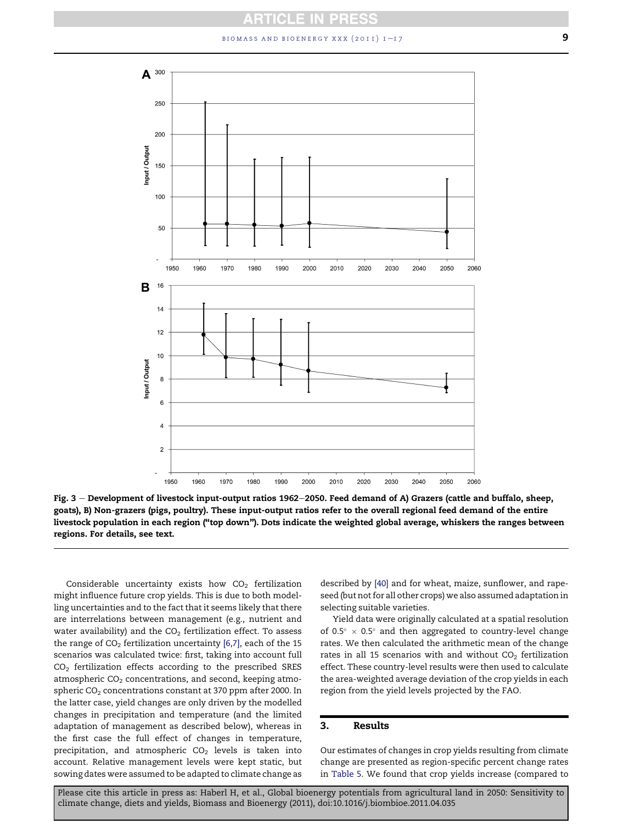$b$ iomass and bioenergy xxx (2011)  $1 - 17$  9

<span id="page-8-0"></span>

Fig.  $3$  – Development of livestock input-output ratios 1962–2050. Feed demand of A) Grazers (cattle and buffalo, sheep, goats), B) Non-grazers (pigs, poultry). These input-output ratios refer to the overall regional feed demand of the entire livestock population in each region ("top down"). Dots indicate the weighted global average, whiskers the ranges between regions. For details, see text.

Considerable uncertainty exists how  $CO<sub>2</sub>$  fertilization might influence future crop yields. This is due to both modelling uncertainties and to the fact that it seems likely that there are interrelations between management (e.g., nutrient and water availability) and the  $CO<sub>2</sub>$  fertilization effect. To assess the range of  $CO<sub>2</sub>$  fertilization uncertainty [\[6,7\]](#page-13-0), each of the 15 scenarios was calculated twice: first, taking into account full  $CO<sub>2</sub>$  fertilization effects according to the prescribed SRES atmospheric  $CO<sub>2</sub>$  concentrations, and second, keeping atmospheric  $CO<sub>2</sub>$  concentrations constant at 370 ppm after 2000. In the latter case, yield changes are only driven by the modelled changes in precipitation and temperature (and the limited adaptation of management as described below), whereas in the first case the full effect of changes in temperature, precipitation, and atmospheric  $CO<sub>2</sub>$  levels is taken into account. Relative management levels were kept static, but sowing dates were assumed to be adapted to climate change as

described by [\[40\]](#page-14-0) and for wheat, maize, sunflower, and rapeseed (but not for all other crops) we also assumed adaptation in selecting suitable varieties.

Yield data were originally calculated at a spatial resolution of 0.5 $\degree$  × 0.5 $\degree$  and then aggregated to country-level change rates. We then calculated the arithmetic mean of the change rates in all 15 scenarios with and without  $CO<sub>2</sub>$  fertilization effect. These country-level results were then used to calculate the area-weighted average deviation of the crop yields in each region from the yield levels projected by the FAO.

# 3. Results

Our estimates of changes in crop yields resulting from climate change are presented as region-specific percent change rates in [Table 5](#page-9-0). We found that crop yields increase (compared to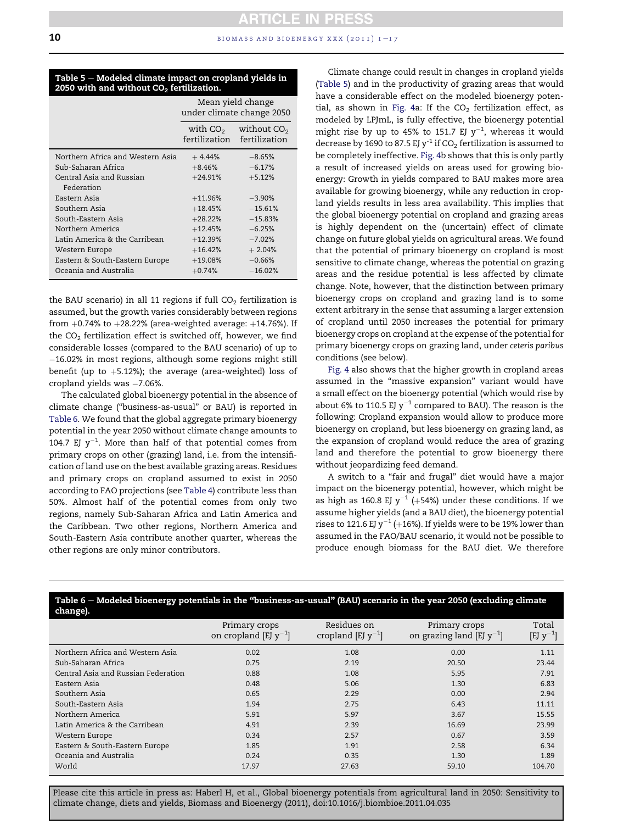#### <span id="page-9-0"></span>Table  $5 -$  Modeled climate impact on cropland yields in 2050 with and without  $CO<sub>2</sub>$  fertilization.

|                                  | Mean yield change<br>under climate change 2050 |                                                         |  |
|----------------------------------|------------------------------------------------|---------------------------------------------------------|--|
|                                  |                                                | with $CO2$ without $CO2$<br>fertilization fertilization |  |
| Northern Africa and Western Asia | $+4.44%$                                       | $-8.65%$                                                |  |
| Sub-Saharan Africa               | $+8.46%$                                       | $-6.17%$                                                |  |
| Central Asia and Russian         | $+24.91%$                                      | $+5.12%$                                                |  |
| Federation                       |                                                |                                                         |  |
| Eastern Asia                     | $+11.96%$                                      | $-3.90%$                                                |  |
| Southern Asia                    | $+18.45%$                                      | $-15.61%$                                               |  |
| South-Eastern Asia               | $+28.22%$                                      | $-15.83%$                                               |  |
| Northern America                 | $+12.45%$                                      | $-6.25%$                                                |  |
| Latin America & the Carribean    | $+12.39%$                                      | $-7.02%$                                                |  |
| Western Europe                   | $+16.42%$                                      | $+2.04%$                                                |  |
| Eastern & South-Eastern Europe   | $+19.08%$                                      | $-0.66%$                                                |  |
| Oceania and Australia            | $+0.74%$                                       | $-16.02%$                                               |  |

the BAU scenario) in all 11 regions if full  $CO<sub>2</sub>$  fertilization is assumed, but the growth varies considerably between regions from  $+0.74\%$  to  $+28.22\%$  (area-weighted average:  $+14.76\%$ ). If the  $CO<sub>2</sub>$  fertilization effect is switched off, however, we find considerable losses (compared to the BAU scenario) of up to 16.02% in most regions, although some regions might still benefit (up to  $+5.12\%$ ); the average (area-weighted) loss of cropland yields was  $-7.06\%$ .

The calculated global bioenergy potential in the absence of climate change ("business-as-usual" or BAU) is reported in Table 6. We found that the global aggregate primary bioenergy potential in the year 2050 without climate change amounts to 104.7 EJ  $y^{-1}$ . More than half of that potential comes from primary crops on other (grazing) land, i.e. from the intensification of land use on the best available grazing areas. Residues and primary crops on cropland assumed to exist in 2050 according to FAO projections (see [Table 4](#page-7-0)) contribute less than 50%. Almost half of the potential comes from only two regions, namely Sub-Saharan Africa and Latin America and the Caribbean. Two other regions, Northern America and South-Eastern Asia contribute another quarter, whereas the other regions are only minor contributors.

Climate change could result in changes in cropland yields (Table 5) and in the productivity of grazing areas that would have a considerable effect on the modeled bioenergy poten-tial, as shown in [Fig. 4](#page-10-0)a: If the  $CO<sub>2</sub>$  fertilization effect, as modeled by LPJmL, is fully effective, the bioenergy potential might rise by up to 45% to 151.7 EJ  $y^{-1}$ , whereas it would decrease by 1690 to 87.5 EJ y<sup>-1</sup> if CO<sub>2</sub> fertilization is assumed to be completely ineffective. [Fig. 4](#page-10-0)b shows that this is only partly a result of increased yields on areas used for growing bioenergy: Growth in yields compared to BAU makes more area available for growing bioenergy, while any reduction in cropland yields results in less area availability. This implies that the global bioenergy potential on cropland and grazing areas is highly dependent on the (uncertain) effect of climate change on future global yields on agricultural areas. We found that the potential of primary bioenergy on cropland is most sensitive to climate change, whereas the potential on grazing areas and the residue potential is less affected by climate change. Note, however, that the distinction between primary bioenergy crops on cropland and grazing land is to some extent arbitrary in the sense that assuming a larger extension of cropland until 2050 increases the potential for primary bioenergy crops on cropland at the expense of the potential for primary bioenergy crops on grazing land, under ceteris paribus conditions (see below).

[Fig. 4](#page-10-0) also shows that the higher growth in cropland areas assumed in the "massive expansion" variant would have a small effect on the bioenergy potential (which would rise by about 6% to 110.5 EJ  $y^{-1}$  compared to BAU). The reason is the following: Cropland expansion would allow to produce more bioenergy on cropland, but less bioenergy on grazing land, as the expansion of cropland would reduce the area of grazing land and therefore the potential to grow bioenergy there without jeopardizing feed demand.

A switch to a "fair and frugal" diet would have a major impact on the bioenergy potential, however, which might be as high as 160.8 EJ  $y^{-1}$  (+54%) under these conditions. If we assume higher yields (and a BAU diet), the bioenergy potential rises to 121.6 EJ y<sup>-1</sup> (+16%). If yields were to be 19% lower than assumed in the FAO/BAU scenario, it would not be possible to produce enough biomass for the BAU diet. We therefore

| ---<br>change).                     |                                             |                                        |                                                 |                        |
|-------------------------------------|---------------------------------------------|----------------------------------------|-------------------------------------------------|------------------------|
|                                     | Primary crops<br>on cropland [EJ $y^{-1}$ ] | Residues on<br>cropland [EJ $y^{-1}$ ] | Primary crops<br>on grazing land [EJ $y^{-1}$ ] | Total<br>$[EJ y^{-1}]$ |
| Northern Africa and Western Asia    | 0.02                                        | 1.08                                   | 0.00                                            | 1.11                   |
| Sub-Saharan Africa                  | 0.75                                        | 2.19                                   | 20.50                                           | 23.44                  |
| Central Asia and Russian Federation | 0.88                                        | 1.08                                   | 5.95                                            | 7.91                   |
| Eastern Asia                        | 0.48                                        | 5.06                                   | 1.30                                            | 6.83                   |
| Southern Asia                       | 0.65                                        | 2.29                                   | 0.00                                            | 2.94                   |
| South-Eastern Asia                  | 1.94                                        | 2.75                                   | 6.43                                            | 11.11                  |
| Northern America                    | 5.91                                        | 5.97                                   | 3.67                                            | 15.55                  |
| Latin America & the Carribean       | 4.91                                        | 2.39                                   | 16.69                                           | 23.99                  |
| Western Europe                      | 0.34                                        | 2.57                                   | 0.67                                            | 3.59                   |
| Eastern & South-Eastern Europe      | 1.85                                        | 1.91                                   | 2.58                                            | 6.34                   |
| Oceania and Australia               | 0.24                                        | 0.35                                   | 1.30                                            | 1.89                   |
| World                               | 17.97                                       | 27.63                                  | 59.10                                           | 104.70                 |
|                                     |                                             |                                        |                                                 |                        |

# Table  $6 -$  Modeled bioenergy potentials in the "business-as-usual" (BAU) scenario in the year 2050 (excluding climate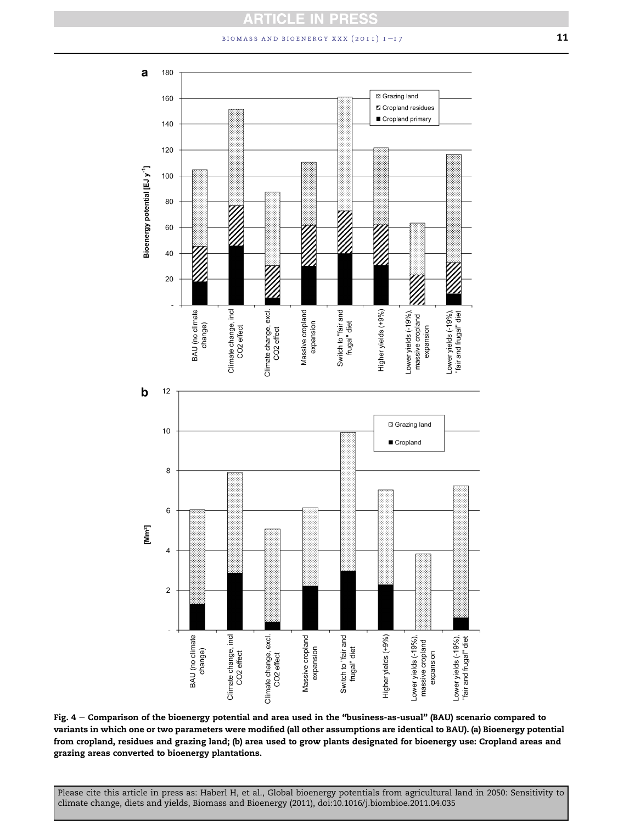# BIOMASS AND BIOENERGY XXX  $(2011)$   $1 - 17$  11

<span id="page-10-0"></span>a 180 **El Grazing land** 160 **Z** Cropland residues Cropland primary 140 120 Bioenergy potential [EJ y<sup>-1</sup>] 100 80 60 40 Ź 20 Climate change, incl Climate change, excl. Higher yields (+9%) BAU (no climate Massive cropland<br>expansion Switch to "fair and Lower yields (-19%), Lower yields (-19%), "fair and frugal" diet massive cropland frugal" diet change) CO2 effect expansion CO2 effect  $\mathbf b$  $12$ **□ Grazing land**  $10$ Cropland 8  $\,6$  $[Mm^2]$  $\overline{4}$  $\overline{\mathbf{c}}$ BAU (no climate<br>change) Climate change, incl Climate change, excl. Massive cropland Switch to "fair and Higher yields (+9%) Lower yields (-19%), Lower yields (-19%), "fair and frugal" diet massive cropland frugal" diet expansion CO<sub>2</sub> effect expansion CO2 effect

Fig. 4 - Comparison of the bioenergy potential and area used in the "business-as-usual" (BAU) scenario compared to variants in which one or two parameters were modified (all other assumptions are identical to BAU). (a) Bioenergy potential from cropland, residues and grazing land; (b) area used to grow plants designated for bioenergy use: Cropland areas and grazing areas converted to bioenergy plantations.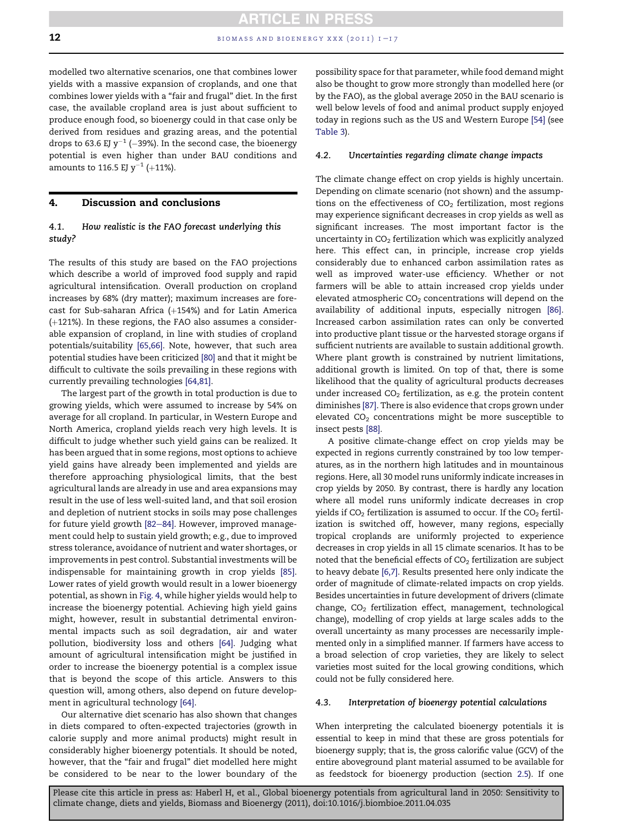modelled two alternative scenarios, one that combines lower yields with a massive expansion of croplands, and one that combines lower yields with a "fair and frugal" diet. In the first case, the available cropland area is just about sufficient to produce enough food, so bioenergy could in that case only be derived from residues and grazing areas, and the potential drops to 63.6 EJ  $y^{-1}$  (-39%). In the second case, the bioenergy potential is even higher than under BAU conditions and amounts to 116.5 EJ  $y^{-1}$  (+11%).

# 4. Discussion and conclusions

# 4.1. How realistic is the FAO forecast underlying this study?

The results of this study are based on the FAO projections which describe a world of improved food supply and rapid agricultural intensification. Overall production on cropland increases by 68% (dry matter); maximum increases are forecast for Sub-saharan Africa  $(+154%)$  and for Latin America  $(+121%)$ . In these regions, the FAO also assumes a considerable expansion of cropland, in line with studies of cropland potentials/suitability [\[65,66\].](#page-15-0) Note, however, that such area potential studies have been criticized [\[80\]](#page-15-0) and that it might be difficult to cultivate the soils prevailing in these regions with currently prevailing technologies [\[64,81\]](#page-15-0).

The largest part of the growth in total production is due to growing yields, which were assumed to increase by 54% on average for all cropland. In particular, in Western Europe and North America, cropland yields reach very high levels. It is difficult to judge whether such yield gains can be realized. It has been argued that in some regions, most options to achieve yield gains have already been implemented and yields are therefore approaching physiological limits, that the best agricultural lands are already in use and area expansions may result in the use of less well-suited land, and that soil erosion and depletion of nutrient stocks in soils may pose challenges for future yield growth [\[82](#page-15-0)-[84\].](#page-15-0) However, improved management could help to sustain yield growth; e.g., due to improved stress tolerance, avoidance of nutrient and water shortages, or improvements in pest control. Substantial investments will be indispensable for maintaining growth in crop yields [\[85\]](#page-15-0). Lower rates of yield growth would result in a lower bioenergy potential, as shown in [Fig. 4](#page-10-0), while higher yields would help to increase the bioenergy potential. Achieving high yield gains might, however, result in substantial detrimental environmental impacts such as soil degradation, air and water pollution, biodiversity loss and others [\[64\].](#page-15-0) Judging what amount of agricultural intensification might be justified in order to increase the bioenergy potential is a complex issue that is beyond the scope of this article. Answers to this question will, among others, also depend on future development in agricultural technology [\[64\]](#page-15-0).

Our alternative diet scenario has also shown that changes in diets compared to often-expected trajectories (growth in calorie supply and more animal products) might result in considerably higher bioenergy potentials. It should be noted, however, that the "fair and frugal" diet modelled here might be considered to be near to the lower boundary of the possibility space for that parameter, while food demand might also be thought to grow more strongly than modelled here (or by the FAO), as the global average 2050 in the BAU scenario is well below levels of food and animal product supply enjoyed today in regions such as the US and Western Europe [\[54\]](#page-15-0) (see [Table 3\)](#page-5-0).

#### 4.2. Uncertainties regarding climate change impacts

The climate change effect on crop yields is highly uncertain. Depending on climate scenario (not shown) and the assumptions on the effectiveness of  $CO<sub>2</sub>$  fertilization, most regions may experience significant decreases in crop yields as well as significant increases. The most important factor is the uncertainty in  $CO<sub>2</sub>$  fertilization which was explicitly analyzed here. This effect can, in principle, increase crop yields considerably due to enhanced carbon assimilation rates as well as improved water-use efficiency. Whether or not farmers will be able to attain increased crop yields under elevated atmospheric  $CO<sub>2</sub>$  concentrations will depend on the availability of additional inputs, especially nitrogen [\[86\]](#page-15-0). Increased carbon assimilation rates can only be converted into productive plant tissue or the harvested storage organs if sufficient nutrients are available to sustain additional growth. Where plant growth is constrained by nutrient limitations, additional growth is limited. On top of that, there is some likelihood that the quality of agricultural products decreases under increased  $CO<sub>2</sub>$  fertilization, as e.g. the protein content diminishes [\[87\]](#page-15-0). There is also evidence that crops grown under elevated  $CO<sub>2</sub>$  concentrations might be more susceptible to insect pests [\[88\].](#page-15-0)

A positive climate-change effect on crop yields may be expected in regions currently constrained by too low temperatures, as in the northern high latitudes and in mountainous regions. Here, all 30 model runs uniformly indicate increases in crop yields by 2050. By contrast, there is hardly any location where all model runs uniformly indicate decreases in crop yields if  $CO<sub>2</sub>$  fertilization is assumed to occur. If the  $CO<sub>2</sub>$  fertilization is switched off, however, many regions, especially tropical croplands are uniformly projected to experience decreases in crop yields in all 15 climate scenarios. It has to be noted that the beneficial effects of  $CO<sub>2</sub>$  fertilization are subject to heavy debate [\[6,7\]](#page-13-0). Results presented here only indicate the order of magnitude of climate-related impacts on crop yields. Besides uncertainties in future development of drivers (climate change,  $CO<sub>2</sub>$  fertilization effect, management, technological change), modelling of crop yields at large scales adds to the overall uncertainty as many processes are necessarily implemented only in a simplified manner. If farmers have access to a broad selection of crop varieties, they are likely to select varieties most suited for the local growing conditions, which could not be fully considered here.

#### 4.3. Interpretation of bioenergy potential calculations

When interpreting the calculated bioenergy potentials it is essential to keep in mind that these are gross potentials for bioenergy supply; that is, the gross calorific value (GCV) of the entire aboveground plant material assumed to be available for as feedstock for bioenergy production (section [2.5](#page-6-0)). If one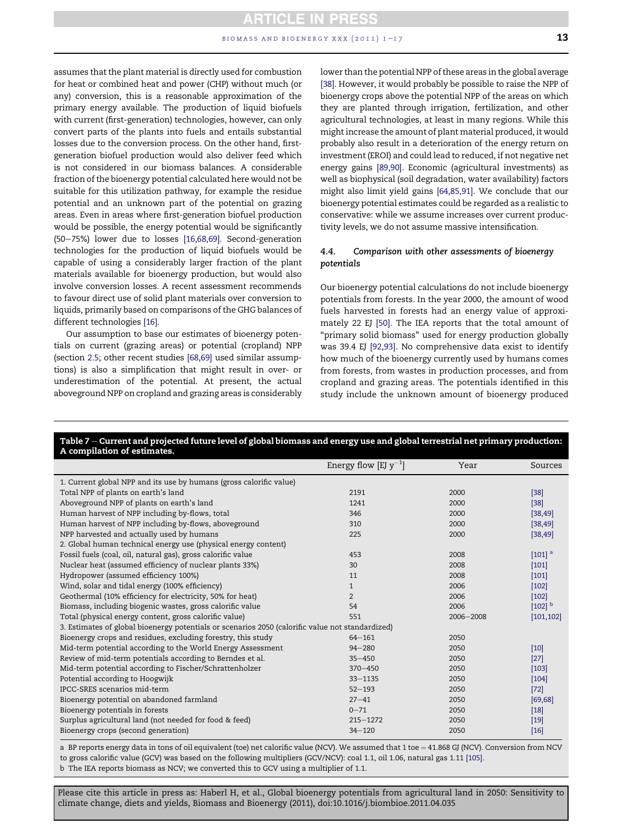<span id="page-12-0"></span>assumes that the plant material is directly used for combustion for heat or combined heat and power (CHP) without much (or any) conversion, this is a reasonable approximation of the primary energy available. The production of liquid biofuels with current (first-generation) technologies, however, can only convert parts of the plants into fuels and entails substantial losses due to the conversion process. On the other hand, firstgeneration biofuel production would also deliver feed which is not considered in our biomass balances. A considerable fraction of the bioenergy potential calculated here would not be suitable for this utilization pathway, for example the residue potential and an unknown part of the potential on grazing areas. Even in areas where first-generation biofuel production would be possible, the energy potential would be significantly (50-75%) lower due to losses [\[16,68,69\].](#page-14-0) Second-generation technologies for the production of liquid biofuels would be capable of using a considerably larger fraction of the plant materials available for bioenergy production, but would also involve conversion losses. A recent assessment recommends to favour direct use of solid plant materials over conversion to liquids, primarily based on comparisons of the GHG balances of different technologies [\[16\].](#page-14-0)

Our assumption to base our estimates of bioenergy potentials on current (grazing areas) or potential (cropland) NPP (section [2.5](#page-6-0); other recent studies [\[68,69\]](#page-15-0) used similar assumptions) is also a simplification that might result in over- or underestimation of the potential. At present, the actual aboveground NPP on cropland and grazing areas is considerably lower than the potential NPP of these areas in the global average [\[38\]](#page-14-0). However, it would probably be possible to raise the NPP of bioenergy crops above the potential NPP of the areas on which they are planted through irrigation, fertilization, and other agricultural technologies, at least in many regions. While this might increase the amount of plant material produced, it would probably also result in a deterioration of the energy return on investment (EROI) and could lead to reduced, if not negative net energy gains [\[89,90\]](#page-15-0). Economic (agricultural investments) as well as biophysical (soil degradation, water availability) factors might also limit yield gains [\[64,85,91\]](#page-15-0). We conclude that our bioenergy potential estimates could be regarded as a realistic to conservative: while we assume increases over current productivity levels, we do not assume massive intensification.

# 4.4. Comparison with other assessments of bioenergy potentials

Our bioenergy potential calculations do not include bioenergy potentials from forests. In the year 2000, the amount of wood fuels harvested in forests had an energy value of approximately 22 EJ [\[50\]](#page-14-0). The IEA reports that the total amount of "primary solid biomass" used for energy production globally was 39.4 EJ [\[92,93\]](#page-15-0). No comprehensive data exist to identify how much of the bioenergy currently used by humans comes from forests, from wastes in production processes, and from cropland and grazing areas. The potentials identified in this study include the unknown amount of bioenergy produced

# Table 7 – Current and projected future level of global biomass and energy use and global terrestrial net primary production: A compilation of estimates.

|                                                                                                  | Energy flow [EJ $y^{-1}$ ] | Year      | Sources              |
|--------------------------------------------------------------------------------------------------|----------------------------|-----------|----------------------|
| 1. Current global NPP and its use by humans (gross calorific value)                              |                            |           |                      |
| Total NPP of plants on earth's land                                                              | 2191                       | 2000      | $[38]$               |
| Aboveground NPP of plants on earth's land                                                        | 1241                       | 2000      | $[38]$               |
| Human harvest of NPP including by-flows, total                                                   | 346                        | 2000      | [38, 49]             |
| Human harvest of NPP including by-flows, aboveground                                             | 310                        | 2000      | [38, 49]             |
| NPP harvested and actually used by humans                                                        | 225                        | 2000      | [38, 49]             |
| 2. Global human technical energy use (physical energy content)                                   |                            |           |                      |
| Fossil fuels (coal, oil, natural gas), gross calorific value                                     | 453                        | 2008      | $[101]$ <sup>a</sup> |
| Nuclear heat (assumed efficiency of nuclear plants 33%)                                          | 30                         | 2008      | $[101]$              |
| Hydropower (assumed efficiency 100%)                                                             | 11                         | 2008      | $[101]$              |
| Wind, solar and tidal energy (100% efficiency)                                                   | $\mathbf{1}$               | 2006      | $[102]$              |
| Geothermal (10% efficiency for electricity, 50% for heat)                                        | $\overline{2}$             | 2006      | [102]                |
| Biomass, including biogenic wastes, gross calorific value                                        | 54                         | 2006      | $[102]$ <sup>b</sup> |
| Total (physical energy content, gross calorific value)                                           | 551                        | 2006-2008 | [101, 102]           |
| 3. Estimates of global bioenergy potentials or scenarios 2050 (calorific value not standardized) |                            |           |                      |
| Bioenergy crops and residues, excluding forestry, this study                                     | $64 - 161$                 | 2050      |                      |
| Mid-term potential according to the World Energy Assessment                                      | $94 - 280$                 | 2050      | $[10]$               |
| Review of mid-term potentials according to Berndes et al.                                        | $35 - 450$                 | 2050      | $[27]$               |
| Mid-term potential according to Fischer/Schrattenholzer                                          | $370 - 450$                | 2050      | $[103]$              |
| Potential according to Hoogwijk                                                                  | $33 - 1135$                | 2050      | $[104]$              |
| IPCC-SRES scenarios mid-term                                                                     | $52 - 193$                 | 2050      | $[72]$               |
| Bioenergy potential on abandoned farmland                                                        | $27 - 41$                  | 2050      | [69, 68]             |
| Bioenergy potentials in forests                                                                  | $0 - 71$                   | 2050      | [18]                 |
| Surplus agricultural land (not needed for food & feed)                                           | $215 - 1272$               | 2050      | $[19]$               |
| Bioenergy crops (second generation)                                                              | $34 - 120$                 | 2050      | $[16]$               |

a BP reports energy data in tons of oil equivalent (toe) net calorific value (NCV). We assumed that 1 toe = 41.868 GJ (NCV). Conversion from NCV to gross calorific value (GCV) was based on the following multipliers (GCV/NCV): coal 1.1, oil 1.06, natural gas 1.11 [\[105\]](#page-16-0).

b The IEA reports biomass as NCV; we converted this to GCV using a multiplier of 1.1.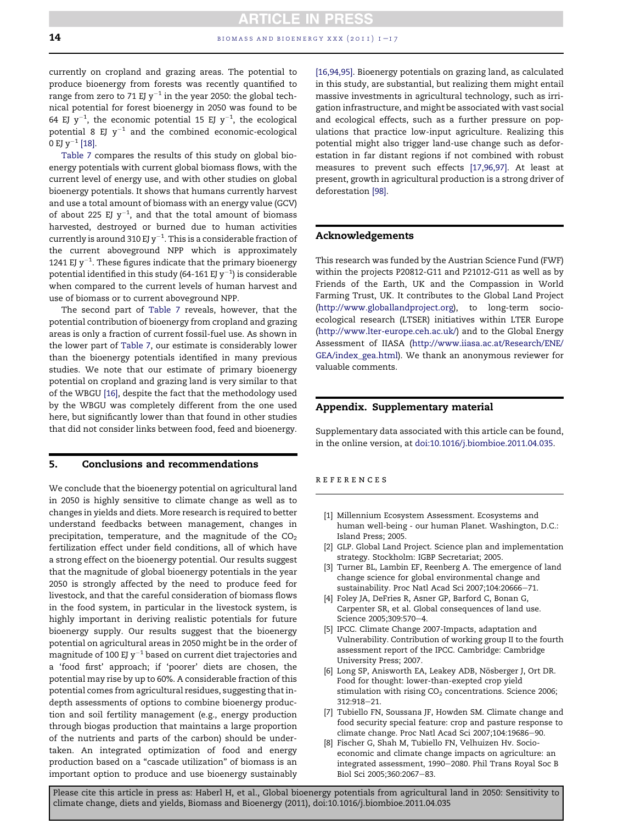<span id="page-13-0"></span>currently on cropland and grazing areas. The potential to produce bioenergy from forests was recently quantified to range from zero to 71 EJ  $y^{-1}$  in the year 2050: the global technical potential for forest bioenergy in 2050 was found to be 64 EJ  $y^{-1}$ , the economic potential 15 EJ  $y^{-1}$ , the ecological potential 8 EJ  $y^{-1}$  and the combined economic-ecological 0 EJ  $y^{-1}$  [\[18\]](#page-14-0).

[Table 7](#page-12-0) compares the results of this study on global bioenergy potentials with current global biomass flows, with the current level of energy use, and with other studies on global bioenergy potentials. It shows that humans currently harvest and use a total amount of biomass with an energy value (GCV) of about 225 EJ  $y^{-1}$ , and that the total amount of biomass harvested, destroyed or burned due to human activities currently is around 310 EJ y $^{-1}$ . This is a considerable fraction of the current aboveground NPP which is approximately 1241 EJ  $y^{-1}$ . These figures indicate that the primary bioenergy potential identified in this study (64-161 EJ y $^{-1}$ ) is considerable when compared to the current levels of human harvest and use of biomass or to current aboveground NPP.

The second part of [Table 7](#page-12-0) reveals, however, that the potential contribution of bioenergy from cropland and grazing areas is only a fraction of current fossil-fuel use. As shown in the lower part of [Table 7](#page-12-0), our estimate is considerably lower than the bioenergy potentials identified in many previous studies. We note that our estimate of primary bioenergy potential on cropland and grazing land is very similar to that of the WBGU [\[16\],](#page-14-0) despite the fact that the methodology used by the WBGU was completely different from the one used here, but significantly lower than that found in other studies that did not consider links between food, feed and bioenergy.

#### 5. Conclusions and recommendations

We conclude that the bioenergy potential on agricultural land in 2050 is highly sensitive to climate change as well as to changes in yields and diets. More research is required to better understand feedbacks between management, changes in precipitation, temperature, and the magnitude of the  $CO<sub>2</sub>$ fertilization effect under field conditions, all of which have a strong effect on the bioenergy potential. Our results suggest that the magnitude of global bioenergy potentials in the year 2050 is strongly affected by the need to produce feed for livestock, and that the careful consideration of biomass flows in the food system, in particular in the livestock system, is highly important in deriving realistic potentials for future bioenergy supply. Our results suggest that the bioenergy potential on agricultural areas in 2050 might be in the order of magnitude of 100 EJ  $y^{-1}$  based on current diet trajectories and a 'food first' approach; if 'poorer' diets are chosen, the potential may rise by up to 60%. A considerable fraction of this potential comes from agricultural residues, suggesting that indepth assessments of options to combine bioenergy production and soil fertility management (e.g., energy production through biogas production that maintains a large proportion of the nutrients and parts of the carbon) should be undertaken. An integrated optimization of food and energy production based on a "cascade utilization" of biomass is an important option to produce and use bioenergy sustainably

[\[16,94,95\]](#page-14-0). Bioenergy potentials on grazing land, as calculated in this study, are substantial, but realizing them might entail massive investments in agricultural technology, such as irrigation infrastructure, and might be associated with vast social and ecological effects, such as a further pressure on populations that practice low-input agriculture. Realizing this potential might also trigger land-use change such as deforestation in far distant regions if not combined with robust measures to prevent such effects [\[17,96,97\].](#page-14-0) At least at present, growth in agricultural production is a strong driver of deforestation [\[98\]](#page-16-0).

## Acknowledgements

This research was funded by the Austrian Science Fund (FWF) within the projects P20812-G11 and P21012-G11 as well as by Friends of the Earth, UK and the Compassion in World Farming Trust, UK. It contributes to the Global Land Project ([http://www.globallandproject.org\)](http://www.globallandproject.org), to long-term socioecological research (LTSER) initiatives within LTER Europe (<http://www.lter-europe.ceh.ac.uk/>) and to the Global Energy Assessment of IIASA [\(http://www.iiasa.ac.at/Research/ENE/](http://www.iiasa.ac.at/Research/ENE/GEA/index_gea.html) [GEA/index\\_gea.html\)](http://www.iiasa.ac.at/Research/ENE/GEA/index_gea.html). We thank an anonymous reviewer for valuable comments.

## Appendix. Supplementary material

Supplementary data associated with this article can be found, in the online version, at [doi:10.1016/j.biombioe.2011.04.035](http://dx.doi.org/10.1016/j.biombioe.2011.04.035).

#### references

- [1] Millennium Ecosystem Assessment. Ecosystems and human well-being - our human Planet. Washington, D.C.: Island Press; 2005.
- [2] GLP. Global Land Project. Science plan and implementation strategy. Stockholm: IGBP Secretariat; 2005.
- [3] Turner BL, Lambin EF, Reenberg A. The emergence of land change science for global environmental change and sustainability. Proc Natl Acad Sci 2007;104:20666-71.
- [4] Foley JA, DeFries R, Asner GP, Barford C, Bonan G, Carpenter SR, et al. Global consequences of land use. Science 2005;309:570-4.
- [5] IPCC. Climate Change 2007-Impacts, adaptation and Vulnerability. Contribution of working group II to the fourth assessment report of the IPCC. Cambridge: Cambridge University Press; 2007.
- [6] Long SP, Anisworth EA, Leakey ADB, Nösberger J, Ort DR. Food for thought: lower-than-exepted crop yield stimulation with rising  $CO<sub>2</sub>$  concentrations. Science 2006; 312:918-21.
- [7] Tubiello FN, Soussana JF, Howden SM. Climate change and food security special feature: crop and pasture response to climate change. Proc Natl Acad Sci 2007;104:19686-90.
- [8] Fischer G, Shah M, Tubiello FN, Velhuizen Hv. Socioeconomic and climate change impacts on agriculture: an integrated assessment, 1990-2080. Phil Trans Royal Soc B Biol Sci 2005;360:2067-83.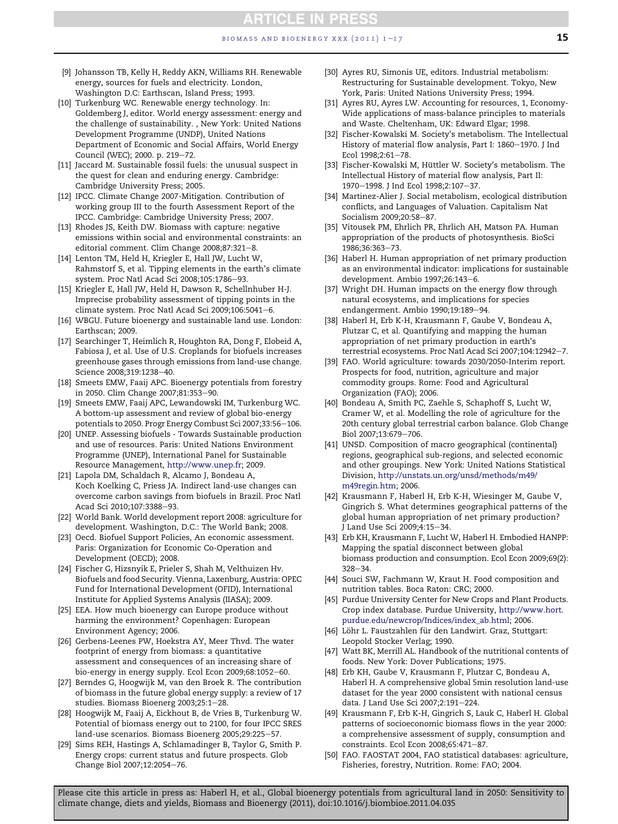- <span id="page-14-0"></span>[9] Johansson TB, Kelly H, Reddy AKN, Williams RH. Renewable energy, sources for fuels and electricity. London, Washington D.C: Earthscan, Island Press; 1993.
- [10] Turkenburg WC. Renewable energy technology. In: Goldemberg J, editor. World energy assessment: energy and the challenge of sustainability. , New York: United Nations Development Programme (UNDP), United Nations Department of Economic and Social Affairs, World Energy Council (WEC); 2000. p. 219-72.
- [11] Jaccard M. Sustainable fossil fuels: the unusual suspect in the quest for clean and enduring energy. Cambridge: Cambridge University Press; 2005.
- [12] IPCC. Climate Change 2007-Mitigation. Contribution of working group III to the fourth Assessment Report of the IPCC. Cambridge: Cambridge University Press; 2007.
- [13] Rhodes JS, Keith DW. Biomass with capture: negative emissions within social and environmental constraints: an editorial comment. Clim Change 2008;87:321-8.
- [14] Lenton TM, Held H, Kriegler E, Hall JW, Lucht W, Rahmstorf S, et al. Tipping elements in the earth's climate system. Proc Natl Acad Sci 2008;105:1786-93.
- [15] Kriegler E, Hall JW, Held H, Dawson R, Schellnhuber H-J. Imprecise probability assessment of tipping points in the climate system. Proc Natl Acad Sci 2009;106:5041-6.
- [16] WBGU. Future bioenergy and sustainable land use. London: Earthscan; 2009.
- [17] Searchinger T, Heimlich R, Houghton RA, Dong F, Elobeid A, Fabiosa J, et al. Use of U.S. Croplands for biofuels increases greenhouse gases through emissions from land-use change. Science 2008;319:1238-40.
- [18] Smeets EMW, Faaij APC. Bioenergy potentials from forestry in 2050. Clim Change 2007;81:353-90.
- [19] Smeets EMW, Faaij APC, Lewandowski IM, Turkenburg WC. A bottom-up assessment and review of global bio-energy potentials to 2050. Progr Energy Combust Sci 2007;33:56-106.
- [20] UNEP. Assessing biofuels Towards Sustainable production and use of resources. Paris: United Nations Environment Programme (UNEP), International Panel for Sustainable Resource Management, [http://www.unep.fr;](http://www.unep.fr) 2009.
- [21] Lapola DM, Schaldach R, Alcamo J, Bondeau A, Koch Koelking C, Priess JA. Indirect land-use changes can overcome carbon savings from biofuels in Brazil. Proc Natl Acad Sci 2010;107:3388-93.
- [22] World Bank. World development report 2008: agriculture for development. Washington, D.C.: The World Bank; 2008.
- [23] Oecd. Biofuel Support Policies, An economic assessment. Paris: Organization for Economic Co-Operation and Development (OECD); 2008.
- [24] Fischer G, Hizsnyik E, Prieler S, Shah M, Velthuizen Hv. Biofuels and food Security. Vienna, Laxenburg, Austria: OPEC Fund for International Development (OFID), International Institute for Applied Systems Analysis (IIASA); 2009.
- [25] EEA. How much bioenergy can Europe produce without harming the environment? Copenhagen: European Environment Agency; 2006.
- [26] Gerbens-Leenes PW, Hoekstra AY, Meer Thvd. The water footprint of energy from biomass: a quantitative assessment and consequences of an increasing share of bio-energy in energy supply. Ecol Econ 2009;68:1052-60.
- [27] Berndes G, Hoogwijk M, van den Broek R. The contribution of biomass in the future global energy supply: a review of 17 studies. Biomass Bioenerg 2003;25:1-28.
- [28] Hoogwijk M, Faaij A, Eickhout B, de Vries B, Turkenburg W. Potential of biomass energy out to 2100, for four IPCC SRES land-use scenarios. Biomass Bioenerg 2005;29:225-57.
- [29] Sims REH, Hastings A, Schlamadinger B, Taylor G, Smith P. Energy crops: current status and future prospects. Glob Change Biol 2007;12:2054-76.
- [30] Ayres RU, Simonis UE, editors. Industrial metabolism: Restructuring for Sustainable development. Tokyo, New York, Paris: United Nations University Press; 1994.
- [31] Ayres RU, Ayres LW. Accounting for resources, 1, Economy-Wide applications of mass-balance principles to materials and Waste. Cheltenham, UK: Edward Elgar; 1998.
- [32] Fischer-Kowalski M. Society's metabolism. The Intellectual History of material flow analysis, Part I: 1860-1970. J Ind Ecol  $1998:2:61-78$ .
- [33] Fischer-Kowalski M, Hüttler W. Society's metabolism. The Intellectual History of material flow analysis, Part II: 1970-1998. J Ind Ecol 1998;2:107-37.
- [34] Martinez-Alier J. Social metabolism, ecological distribution conflicts, and Languages of Valuation. Capitalism Nat Socialism 2009;20:58-87.
- [35] Vitousek PM, Ehrlich PR, Ehrlich AH, Matson PA. Human appropriation of the products of photosynthesis. BioSci 1986:36:363-73.
- [36] Haberl H. Human appropriation of net primary production as an environmental indicator: implications for sustainable development. Ambio 1997;26:143-6.
- [37] Wright DH. Human impacts on the energy flow through natural ecosystems, and implications for species endangerment. Ambio 1990;19:189-94.
- [38] Haberl H, Erb K-H, Krausmann F, Gaube V, Bondeau A, Plutzar C, et al. Quantifying and mapping the human appropriation of net primary production in earth's terrestrial ecosystems. Proc Natl Acad Sci 2007;104:12942-7.
- [39] FAO. World agriculture: towards 2030/2050-Interim report. Prospects for food, nutrition, agriculture and major commodity groups. Rome: Food and Agricultural Organization (FAO); 2006.
- [40] Bondeau A, Smith PC, Zaehle S, Schaphoff S, Lucht W, Cramer W, et al. Modelling the role of agriculture for the 20th century global terrestrial carbon balance. Glob Change Biol 2007:13:679-706.
- [41] UNSD. Composition of macro geographical (continental) regions, geographical sub-regions, and selected economic and other groupings. New York: United Nations Statistical Division, [http://unstats.un.org/unsd/methods/m49/](http://unstats.un.org/unsd/methods/m49/m49regin.htm) [m49regin.htm;](http://unstats.un.org/unsd/methods/m49/m49regin.htm) 2006.
- [42] Krausmann F, Haberl H, Erb K-H, Wiesinger M, Gaube V, Gingrich S. What determines geographical patterns of the global human appropriation of net primary production? J Land Use Sci 2009;4:15-34.
- [43] Erb KH, Krausmann F, Lucht W, Haberl H. Embodied HANPP: Mapping the spatial disconnect between global biomass production and consumption. Ecol Econ 2009;69(2):  $328 - 34.$
- [44] Souci SW, Fachmann W, Kraut H. Food composition and nutrition tables. Boca Raton: CRC; 2000.
- [45] Purdue University Center for New Crops and Plant Products. Crop index database. Purdue University, [http://www.hort.](http://www.hort.purdue.edu/newcrop/Indices/index_ab.html) [purdue.edu/newcrop/Indices/index\\_ab.html](http://www.hort.purdue.edu/newcrop/Indices/index_ab.html); 2006.
- [46] Löhr L. Faustzahlen für den Landwirt. Graz, Stuttgart: Leopold Stocker Verlag; 1990.
- [47] Watt BK, Merrill AL. Handbook of the nutritional contents of foods. New York: Dover Publications; 1975.
- [48] Erb KH, Gaube V, Krausmann F, Plutzar C, Bondeau A, Haberl H. A comprehensive global 5min resolution land-use dataset for the year 2000 consistent with national census data. J Land Use Sci 2007;2:191-224.
- [49] Krausmann F, Erb K-H, Gingrich S, Lauk C, Haberl H. Global patterns of socioeconomic biomass flows in the year 2000: a comprehensive assessment of supply, consumption and constraints. Ecol Econ 2008;65:471-87.
- [50] FAO. FAOSTAT 2004, FAO statistical databases: agriculture, Fisheries, forestry, Nutrition. Rome: FAO; 2004.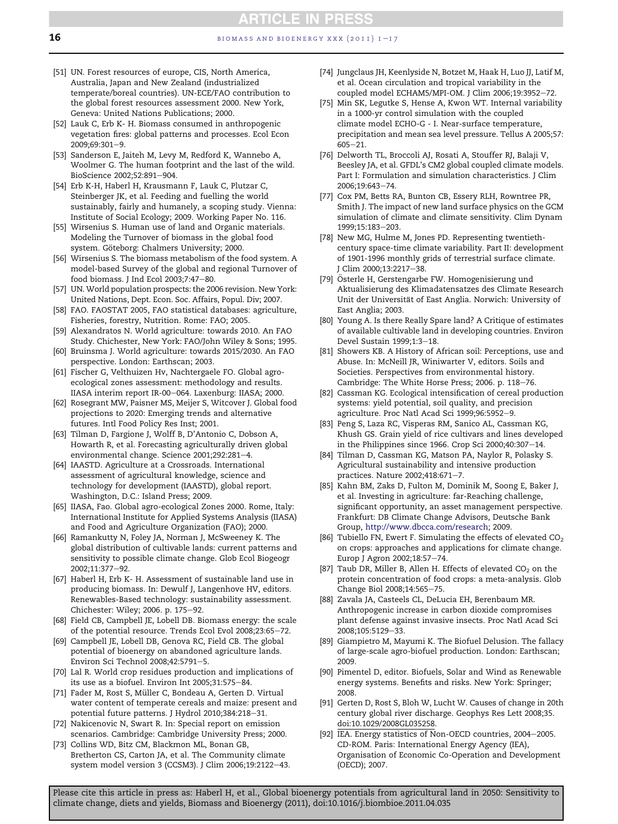- <span id="page-15-0"></span>[51] UN. Forest resources of europe, CIS, North America, Australia, Japan and New Zealand (industrialized temperate/boreal countries). UN-ECE/FAO contribution to the global forest resources assessment 2000. New York, Geneva: United Nations Publications; 2000.
- [52] Lauk C, Erb K- H. Biomass consumed in anthropogenic vegetation fires: global patterns and processes. Ecol Econ  $2009:69:301-9$
- [53] Sanderson E, Jaiteh M, Levy M, Redford K, Wannebo A, Woolmer G. The human footprint and the last of the wild. BioScience 2002;52:891-904.
- [54] Erb K-H, Haberl H, Krausmann F, Lauk C, Plutzar C, Steinberger JK, et al. Feeding and fuelling the world sustainably, fairly and humanely, a scoping study. Vienna: Institute of Social Ecology; 2009. Working Paper No. 116.
- [55] Wirsenius S. Human use of land and Organic materials. Modeling the Turnover of biomass in the global food system. Göteborg: Chalmers University; 2000.
- [56] Wirsenius S. The biomass metabolism of the food system. A model-based Survey of the global and regional Turnover of food biomass. J Ind Ecol 2003;7:47-80.
- [57] UN. World population prospects: the 2006 revision. New York: United Nations, Dept. Econ. Soc. Affairs, Popul. Div; 2007.
- [58] FAO. FAOSTAT 2005, FAO statistical databases: agriculture, Fisheries, forestry, Nutrition. Rome: FAO; 2005.
- [59] Alexandratos N. World agriculture: towards 2010. An FAO Study. Chichester, New York: FAO/John Wiley & Sons; 1995.
- [60] Bruinsma J. World agriculture: towards 2015/2030. An FAO perspective. London: Earthscan; 2003.
- [61] Fischer G, Velthuizen Hv, Nachtergaele FO. Global agroecological zones assessment: methodology and results. IIASA interim report IR-00-064. Laxenburg: IIASA; 2000.
- [62] Rosegrant MW, Paisner MS, Meijer S, Witcover J. Global food projections to 2020: Emerging trends and alternative futures. Intl Food Policy Res Inst; 2001.
- [63] Tilman D, Fargione J, Wolff B, D'Antonio C, Dobson A, Howarth R, et al. Forecasting agriculturally driven global environmental change. Science 2001;292:281-4.
- [64] IAASTD. Agriculture at a Crossroads. International assessment of agricultural knowledge, science and technology for development (IAASTD), global report. Washington, D.C.: Island Press; 2009.
- [65] IIASA, Fao. Global agro-ecological Zones 2000. Rome, Italy: International Institute for Applied Systems Analysis (IIASA) and Food and Agriculture Organization (FAO); 2000.
- [66] Ramankutty N, Foley JA, Norman J, McSweeney K. The global distribution of cultivable lands: current patterns and sensitivity to possible climate change. Glob Ecol Biogeogr 2002;11:377-92.
- [67] Haberl H, Erb K- H. Assessment of sustainable land use in producing biomass. In: Dewulf J, Langenhove HV, editors. Renewables-Based technology: sustainability assessment. Chichester: Wiley; 2006. p. 175-92.
- [68] Field CB, Campbell JE, Lobell DB. Biomass energy: the scale of the potential resource. Trends Ecol Evol 2008;23:65-72.
- [69] Campbell JE, Lobell DB, Genova RC, Field CB. The global potential of bioenergy on abandoned agriculture lands. Environ Sci Technol 2008;42:5791-5.
- [70] Lal R. World crop residues production and implications of its use as a biofuel. Environ Int 2005;31:575-84.
- [71] Fader M, Rost S, Müller C, Bondeau A, Gerten D. Virtual water content of temperate cereals and maize: present and potential future patterns. J Hydrol 2010;384:218-31.
- [72] Nakicenovic N, Swart R. In: Special report on emission scenarios. Cambridge: Cambridge University Press; 2000.
- [73] Collins WD, Bitz CM, Blackmon ML, Bonan GB, Bretherton CS, Carton JA, et al. The Community climate system model version 3 (CCSM3). J Clim 2006;19:2122-43.
- [74] Jungclaus JH, Keenlyside N, Botzet M, Haak H, Luo JJ, Latif M, et al. Ocean circulation and tropical variability in the coupled model ECHAM5/MPI-OM. J Clim 2006;19:3952-72.
- [75] Min SK, Legutke S, Hense A, Kwon WT. Internal variability in a 1000-yr control simulation with the coupled climate model ECHO-G - I. Near-surface temperature, precipitation and mean sea level pressure. Tellus A 2005;57:  $605 - 21$ .
- [76] Delworth TL, Broccoli AJ, Rosati A, Stouffer RJ, Balaji V, Beesley JA, et al. GFDL's CM2 global coupled climate models. Part I: Formulation and simulation characteristics. J Clim 2006;19:643-74.
- [77] Cox PM, Betts RA, Bunton CB, Essery RLH, Rowntree PR, Smith J. The impact of new land surface physics on the GCM simulation of climate and climate sensitivity. Clim Dynam 1999;15:183-203.
- [78] New MG, Hulme M, Jones PD. Representing twentiethcentury space-time climate variability. Part II: development of 1901-1996 monthly grids of terrestrial surface climate. J Clim 2000;13:2217-38.
- [79] Österle H, Gerstengarbe FW. Homogenisierung und Aktualisierung des Klimadatensatzes des Climate Research Unit der Universität of East Anglia. Norwich: University of East Anglia; 2003.
- [80] Young A. Is there Really Spare land? A Critique of estimates of available cultivable land in developing countries. Environ Devel Sustain 1999;1:3-18.
- [81] Showers KB. A History of African soil: Perceptions, use and Abuse. In: McNeill JR, Winiwarter V, editors. Soils and Societies. Perspectives from environmental history. Cambridge: The White Horse Press; 2006. p. 118-76.
- [82] Cassman KG. Ecological intensification of cereal production systems: yield potential, soil quality, and precision agriculture. Proc Natl Acad Sci 1999;96:5952-9.
- [83] Peng S, Laza RC, Visperas RM, Sanico AL, Cassman KG, Khush GS. Grain yield of rice cultivars and lines developed in the Philippines since 1966. Crop Sci 2000;40:307 $-14$ .
- [84] Tilman D, Cassman KG, Matson PA, Naylor R, Polasky S. Agricultural sustainability and intensive production practices. Nature 2002;418:671-7.
- [85] Kahn BM, Zaks D, Fulton M, Dominik M, Soong E, Baker J, et al. Investing in agriculture: far-Reaching challenge, significant opportunity, an asset management perspective. Frankfurt: DB Climate Change Advisors, Deutsche Bank Group, [http://www.dbcca.com/research;](http://www.dbcca.com/research) 2009.
- [86] Tubiello FN, Ewert F. Simulating the effects of elevated  $CO<sub>2</sub>$ on crops: approaches and applications for climate change. Europ J Agron 2002;18:57-74.
- [87] Taub DR, Miller B, Allen H. Effects of elevated  $CO<sub>2</sub>$  on the protein concentration of food crops: a meta-analysis. Glob Change Biol 2008;14:565-75.
- [88] Zavala JA, Casteels CL, DeLucia EH, Berenbaum MR. Anthropogenic increase in carbon dioxide compromises plant defense against invasive insects. Proc Natl Acad Sci 2008;105:5129-33.
- [89] Giampietro M, Mayumi K. The Biofuel Delusion. The fallacy of large-scale agro-biofuel production. London: Earthscan; 2009.
- [90] Pimentel D, editor. Biofuels, Solar and Wind as Renewable energy systems. Benefits and risks. New York: Springer; 2008.
- [91] Gerten D, Rost S, Bloh W, Lucht W. Causes of change in 20th century global river discharge. Geophys Res Lett 2008;35. doi:10.1029/2008GL035258.
- [92] IEA. Energy statistics of Non-OECD countries, 2004-2005. CD-ROM. Paris: International Energy Agency (IEA), Organisation of Economic Co-Operation and Development (OECD); 2007.